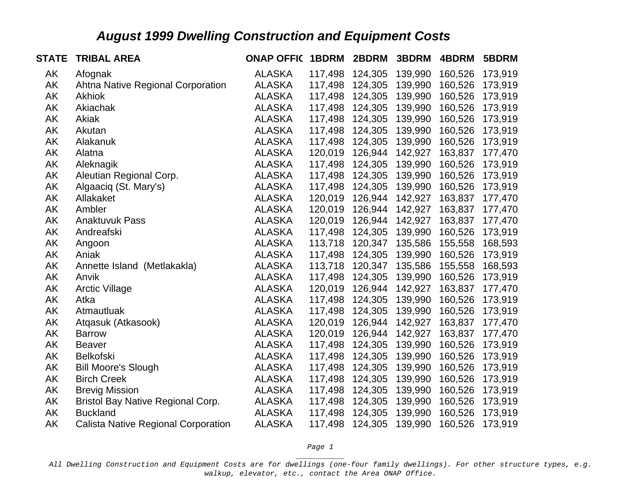| <b>STATE</b> | <b>TRIBAL AREA</b>                         | <b>ONAP OFFIC</b> | 1BDRM   | 2BDRM   | 3BDRM   | 4BDRM   | 5BDRM   |
|--------------|--------------------------------------------|-------------------|---------|---------|---------|---------|---------|
| AK           | Afognak                                    | <b>ALASKA</b>     | 117,498 | 124,305 | 139,990 | 160,526 | 173,919 |
| AK           | Ahtna Native Regional Corporation          | <b>ALASKA</b>     | 117,498 | 124,305 | 139,990 | 160,526 | 173,919 |
| AK           | Akhiok                                     | <b>ALASKA</b>     | 117,498 | 124,305 | 139,990 | 160,526 | 173,919 |
| AK           | Akiachak                                   | <b>ALASKA</b>     | 117,498 | 124,305 | 139,990 | 160,526 | 173,919 |
| AK           | Akiak                                      | <b>ALASKA</b>     | 117,498 | 124,305 | 139,990 | 160,526 | 173,919 |
| AK           | Akutan                                     | <b>ALASKA</b>     | 117,498 | 124,305 | 139,990 | 160,526 | 173,919 |
| AK           | Alakanuk                                   | <b>ALASKA</b>     | 117,498 | 124,305 | 139,990 | 160,526 | 173,919 |
| AK           | Alatna                                     | <b>ALASKA</b>     | 120,019 | 126,944 | 142,927 | 163,837 | 177,470 |
| AK           | Aleknagik                                  | <b>ALASKA</b>     | 117,498 | 124,305 | 139,990 | 160,526 | 173,919 |
| AK           | Aleutian Regional Corp.                    | <b>ALASKA</b>     | 117,498 | 124,305 | 139,990 | 160,526 | 173,919 |
| AK           | Algaaciq (St. Mary's)                      | <b>ALASKA</b>     | 117,498 | 124,305 | 139,990 | 160,526 | 173,919 |
| AK           | Allakaket                                  | <b>ALASKA</b>     | 120,019 | 126,944 | 142,927 | 163,837 | 177,470 |
| AK           | Ambler                                     | <b>ALASKA</b>     | 120,019 | 126,944 | 142,927 | 163,837 | 177,470 |
| AK           | <b>Anaktuvuk Pass</b>                      | <b>ALASKA</b>     | 120,019 | 126,944 | 142,927 | 163,837 | 177,470 |
| AK           | Andreafski                                 | <b>ALASKA</b>     | 117,498 | 124,305 | 139,990 | 160,526 | 173,919 |
| AK           | Angoon                                     | <b>ALASKA</b>     | 113,718 | 120,347 | 135,586 | 155,558 | 168,593 |
| AK           | Aniak                                      | <b>ALASKA</b>     | 117,498 | 124,305 | 139,990 | 160,526 | 173,919 |
| AK           | Annette Island (Metlakakla)                | <b>ALASKA</b>     | 113,718 | 120,347 | 135,586 | 155,558 | 168,593 |
| AK           | Anvik                                      | <b>ALASKA</b>     | 117,498 | 124,305 | 139,990 | 160,526 | 173,919 |
| AK           | <b>Arctic Village</b>                      | <b>ALASKA</b>     | 120,019 | 126,944 | 142,927 | 163,837 | 177,470 |
| AK           | Atka                                       | <b>ALASKA</b>     | 117,498 | 124,305 | 139,990 | 160,526 | 173,919 |
| AK           | Atmautluak                                 | <b>ALASKA</b>     | 117,498 | 124,305 | 139,990 | 160,526 | 173,919 |
| AK           | Atgasuk (Atkasook)                         | <b>ALASKA</b>     | 120,019 | 126,944 | 142,927 | 163,837 | 177,470 |
| AK           | <b>Barrow</b>                              | <b>ALASKA</b>     | 120,019 | 126,944 | 142,927 | 163,837 | 177,470 |
| AK           | <b>Beaver</b>                              | <b>ALASKA</b>     | 117,498 | 124,305 | 139,990 | 160,526 | 173,919 |
| AK           | <b>Belkofski</b>                           | <b>ALASKA</b>     | 117,498 | 124,305 | 139,990 | 160,526 | 173,919 |
| AK           | <b>Bill Moore's Slough</b>                 | <b>ALASKA</b>     | 117,498 | 124,305 | 139,990 | 160,526 | 173,919 |
| AK           | <b>Birch Creek</b>                         | <b>ALASKA</b>     | 117,498 | 124,305 | 139,990 | 160,526 | 173,919 |
| AK           | <b>Brevig Mission</b>                      | <b>ALASKA</b>     | 117,498 | 124,305 | 139,990 | 160,526 | 173,919 |
| AK           | <b>Bristol Bay Native Regional Corp.</b>   | <b>ALASKA</b>     | 117,498 | 124,305 | 139,990 | 160,526 | 173,919 |
| AK           | <b>Buckland</b>                            | <b>ALASKA</b>     | 117,498 | 124,305 | 139,990 | 160,526 | 173,919 |
| AK           | <b>Calista Native Regional Corporation</b> | <b>ALASKA</b>     | 117,498 | 124,305 | 139,990 | 160,526 | 173,919 |

*Page 1 \_\_\_\_\_\_\_\_\_\_\_*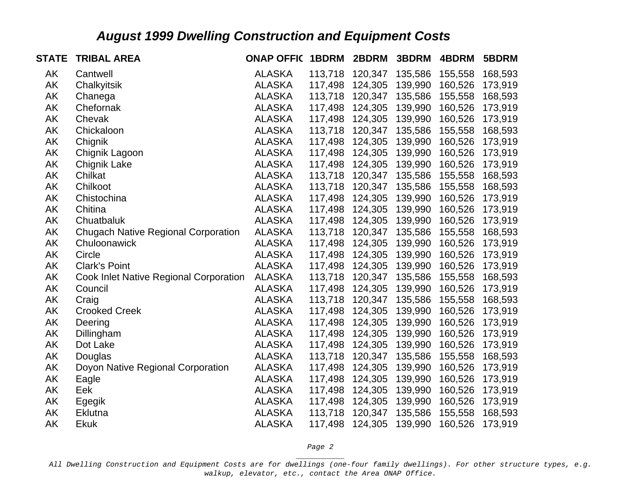| <b>STATE</b> | <b>TRIBAL AREA</b>                         | <b>ONAP OFFIC</b> | 1BDRM   | 2BDRM   | 3BDRM   | 4BDRM   | 5BDRM   |
|--------------|--------------------------------------------|-------------------|---------|---------|---------|---------|---------|
| AK           | Cantwell                                   | <b>ALASKA</b>     | 113,718 | 120,347 | 135,586 | 155,558 | 168,593 |
| AK           | Chalkyitsik                                | <b>ALASKA</b>     | 117,498 | 124,305 | 139,990 | 160,526 | 173,919 |
| AK           | Chanega                                    | <b>ALASKA</b>     | 113,718 | 120,347 | 135,586 | 155,558 | 168,593 |
| AK           | Chefornak                                  | <b>ALASKA</b>     | 117,498 | 124,305 | 139,990 | 160,526 | 173,919 |
| AK           | Chevak                                     | <b>ALASKA</b>     | 117,498 | 124,305 | 139,990 | 160,526 | 173,919 |
| AK           | Chickaloon                                 | <b>ALASKA</b>     | 113,718 | 120,347 | 135,586 | 155,558 | 168,593 |
| AK           | Chignik                                    | <b>ALASKA</b>     | 117,498 | 124,305 | 139,990 | 160,526 | 173,919 |
| AK           | Chignik Lagoon                             | <b>ALASKA</b>     | 117,498 | 124,305 | 139,990 | 160,526 | 173,919 |
| AK           | <b>Chignik Lake</b>                        | <b>ALASKA</b>     | 117,498 | 124,305 | 139,990 | 160,526 | 173,919 |
| AK           | Chilkat                                    | <b>ALASKA</b>     | 113,718 | 120,347 | 135,586 | 155,558 | 168,593 |
| AK           | Chilkoot                                   | <b>ALASKA</b>     | 113,718 | 120,347 | 135,586 | 155,558 | 168,593 |
| AK           | Chistochina                                | <b>ALASKA</b>     | 117,498 | 124,305 | 139,990 | 160,526 | 173,919 |
| AK           | Chitina                                    | <b>ALASKA</b>     | 117,498 | 124,305 | 139,990 | 160,526 | 173,919 |
| AK           | Chuatbaluk                                 | <b>ALASKA</b>     | 117,498 | 124,305 | 139,990 | 160,526 | 173,919 |
| AK           | <b>Chugach Native Regional Corporation</b> | <b>ALASKA</b>     | 113,718 | 120,347 | 135,586 | 155,558 | 168,593 |
| AK           | Chuloonawick                               | <b>ALASKA</b>     | 117,498 | 124,305 | 139,990 | 160,526 | 173,919 |
| AK           | Circle                                     | <b>ALASKA</b>     | 117,498 | 124,305 | 139,990 | 160,526 | 173,919 |
| AK           | <b>Clark's Point</b>                       | <b>ALASKA</b>     | 117,498 | 124,305 | 139,990 | 160,526 | 173,919 |
| AK           | Cook Inlet Native Regional Corporation     | <b>ALASKA</b>     | 113,718 | 120,347 | 135,586 | 155,558 | 168,593 |
| AK           | Council                                    | <b>ALASKA</b>     | 117,498 | 124,305 | 139,990 | 160,526 | 173,919 |
| AK           | Craig                                      | <b>ALASKA</b>     | 113,718 | 120,347 | 135,586 | 155,558 | 168,593 |
| AK           | <b>Crooked Creek</b>                       | <b>ALASKA</b>     | 117,498 | 124,305 | 139,990 | 160,526 | 173,919 |
| AK           | Deering                                    | <b>ALASKA</b>     | 117,498 | 124,305 | 139,990 | 160,526 | 173,919 |
| AK           | Dillingham                                 | <b>ALASKA</b>     | 117,498 | 124,305 | 139,990 | 160,526 | 173,919 |
| AK           | Dot Lake                                   | <b>ALASKA</b>     | 117,498 | 124,305 | 139,990 | 160,526 | 173,919 |
| AK           | Douglas                                    | <b>ALASKA</b>     | 113,718 | 120,347 | 135,586 | 155,558 | 168,593 |
| AK           | Doyon Native Regional Corporation          | <b>ALASKA</b>     | 117,498 | 124,305 | 139,990 | 160,526 | 173,919 |
| AK           | Eagle                                      | <b>ALASKA</b>     | 117,498 | 124,305 | 139,990 | 160,526 | 173,919 |
| AK           | Eek                                        | <b>ALASKA</b>     | 117,498 | 124,305 | 139,990 | 160,526 | 173,919 |
| AK           | Egegik                                     | <b>ALASKA</b>     | 117,498 | 124,305 | 139,990 | 160,526 | 173,919 |
| AK           | <b>Eklutna</b>                             | <b>ALASKA</b>     | 113,718 | 120,347 | 135,586 | 155,558 | 168,593 |
| AK           | <b>Ekuk</b>                                | <b>ALASKA</b>     | 117,498 | 124,305 | 139,990 | 160,526 | 173,919 |

*Page 2 \_\_\_\_\_\_\_\_\_\_\_*

*All Dwelling Construction and Equipment Costs are for dwellings (one-four family dwellings). For other structure types, e.g. walkup, elevator, etc., contact the Area ONAP Office.*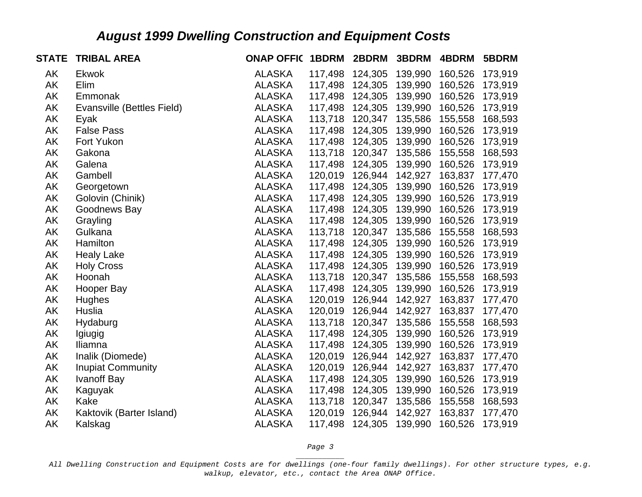| <b>STATE</b> | <b>TRIBAL AREA</b>         | <b>ONAP OFFIC 1BDRM</b> |         | 2BDRM           | 3BDRM   | 4BDRM   | 5BDRM   |
|--------------|----------------------------|-------------------------|---------|-----------------|---------|---------|---------|
| AK           | <b>Ekwok</b>               | <b>ALASKA</b>           | 117,498 | 124,305         | 139,990 | 160,526 | 173,919 |
| AK           | Elim                       | <b>ALASKA</b>           | 117,498 | 124,305         | 139,990 | 160,526 | 173,919 |
| AK           | Emmonak                    | <b>ALASKA</b>           | 117,498 | 124,305         | 139,990 | 160,526 | 173,919 |
| AK           | Evansville (Bettles Field) | <b>ALASKA</b>           | 117,498 | 124,305         | 139,990 | 160,526 | 173,919 |
| AK           | Eyak                       | <b>ALASKA</b>           | 113,718 | 120,347         | 135,586 | 155,558 | 168,593 |
| AK           | <b>False Pass</b>          | <b>ALASKA</b>           | 117,498 | 124,305         | 139,990 | 160,526 | 173,919 |
| AK           | Fort Yukon                 | <b>ALASKA</b>           | 117,498 | 124,305         | 139,990 | 160,526 | 173,919 |
| AK           | Gakona                     | <b>ALASKA</b>           | 113,718 | 120,347         | 135,586 | 155,558 | 168,593 |
| AK           | Galena                     | <b>ALASKA</b>           | 117,498 | 124,305         | 139,990 | 160,526 | 173,919 |
| AK           | Gambell                    | <b>ALASKA</b>           | 120,019 | 126,944         | 142,927 | 163,837 | 177,470 |
| AK           | Georgetown                 | <b>ALASKA</b>           | 117,498 | 124,305         | 139,990 | 160,526 | 173,919 |
| AK           | Golovin (Chinik)           | <b>ALASKA</b>           | 117,498 | 124,305         | 139,990 | 160,526 | 173,919 |
| AK           | Goodnews Bay               | <b>ALASKA</b>           | 117,498 | 124,305         | 139,990 | 160,526 | 173,919 |
| AK           | Grayling                   | <b>ALASKA</b>           | 117,498 | 124,305         | 139,990 | 160,526 | 173,919 |
| AK           | Gulkana                    | <b>ALASKA</b>           | 113,718 | 120,347         | 135,586 | 155,558 | 168,593 |
| AK           | Hamilton                   | <b>ALASKA</b>           |         | 117,498 124,305 | 139,990 | 160,526 | 173,919 |
| AK           | <b>Healy Lake</b>          | <b>ALASKA</b>           | 117,498 | 124,305         | 139,990 | 160,526 | 173,919 |
| AK           | <b>Holy Cross</b>          | <b>ALASKA</b>           | 117,498 | 124,305         | 139,990 | 160,526 | 173,919 |
| AK           | Hoonah                     | <b>ALASKA</b>           | 113,718 | 120,347         | 135,586 | 155,558 | 168,593 |
| AK           | Hooper Bay                 | <b>ALASKA</b>           | 117,498 | 124,305         | 139,990 | 160,526 | 173,919 |
| AK           | Hughes                     | <b>ALASKA</b>           | 120,019 | 126,944         | 142,927 | 163,837 | 177,470 |
| AK           | Huslia                     | <b>ALASKA</b>           | 120,019 | 126,944         | 142,927 | 163,837 | 177,470 |
| AK           | Hydaburg                   | <b>ALASKA</b>           | 113,718 | 120,347         | 135,586 | 155,558 | 168,593 |
| AK           | Igiugig                    | <b>ALASKA</b>           | 117,498 | 124,305         | 139,990 | 160,526 | 173,919 |
| AK           | Iliamna                    | <b>ALASKA</b>           | 117,498 | 124,305         | 139,990 | 160,526 | 173,919 |
| AK           | Inalik (Diomede)           | <b>ALASKA</b>           | 120,019 | 126,944         | 142,927 | 163,837 | 177,470 |
| AK           | <b>Inupiat Community</b>   | <b>ALASKA</b>           | 120,019 | 126,944         | 142,927 | 163,837 | 177,470 |
| AK           | <b>Ivanoff Bay</b>         | <b>ALASKA</b>           | 117,498 | 124,305         | 139,990 | 160,526 | 173,919 |
| AK           | Kaguyak                    | <b>ALASKA</b>           | 117,498 | 124,305         | 139,990 | 160,526 | 173,919 |
| AK           | Kake                       | <b>ALASKA</b>           | 113,718 | 120,347         | 135,586 | 155,558 | 168,593 |
| AK           | Kaktovik (Barter Island)   | <b>ALASKA</b>           | 120,019 | 126,944         | 142,927 | 163,837 | 177,470 |
| AK           | Kalskag                    | <b>ALASKA</b>           | 117,498 | 124,305         | 139,990 | 160,526 | 173,919 |

*Page 3 \_\_\_\_\_\_\_\_\_\_\_*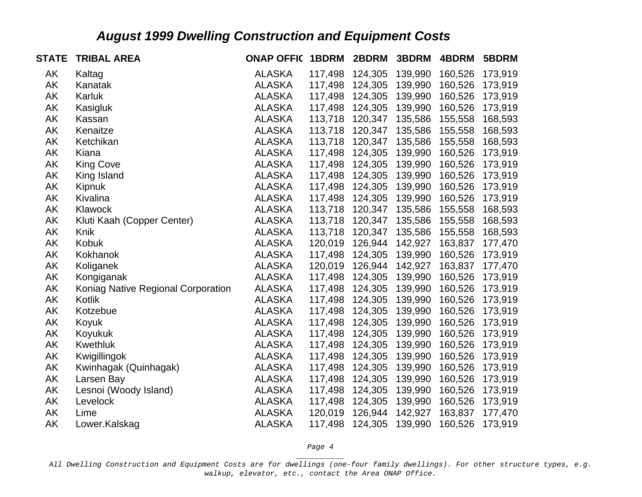| <b>STATE</b> | <b>TRIBAL AREA</b>                 | <b>ONAP OFFIC</b> | 1BDRM   | 2BDRM   | 3BDRM   | 4BDRM   | 5BDRM   |
|--------------|------------------------------------|-------------------|---------|---------|---------|---------|---------|
| AK           | Kaltag                             | <b>ALASKA</b>     | 117,498 | 124,305 | 139,990 | 160,526 | 173,919 |
| AK           | Kanatak                            | <b>ALASKA</b>     | 117,498 | 124,305 | 139,990 | 160,526 | 173,919 |
| AK           | Karluk                             | <b>ALASKA</b>     | 117,498 | 124,305 | 139,990 | 160,526 | 173,919 |
| AK           | Kasigluk                           | <b>ALASKA</b>     | 117,498 | 124,305 | 139,990 | 160,526 | 173,919 |
| AK           | Kassan                             | <b>ALASKA</b>     | 113,718 | 120,347 | 135,586 | 155,558 | 168,593 |
| AK           | Kenaitze                           | <b>ALASKA</b>     | 113,718 | 120,347 | 135,586 | 155,558 | 168,593 |
| AK           | Ketchikan                          | <b>ALASKA</b>     | 113,718 | 120,347 | 135,586 | 155,558 | 168,593 |
| AK           | Kiana                              | <b>ALASKA</b>     | 117,498 | 124,305 | 139,990 | 160,526 | 173,919 |
| AK           | <b>King Cove</b>                   | <b>ALASKA</b>     | 117,498 | 124,305 | 139,990 | 160,526 | 173,919 |
| AK           | King Island                        | <b>ALASKA</b>     | 117,498 | 124,305 | 139,990 | 160,526 | 173,919 |
| AK           | Kipnuk                             | <b>ALASKA</b>     | 117,498 | 124,305 | 139,990 | 160,526 | 173,919 |
| AK           | Kivalina                           | <b>ALASKA</b>     | 117,498 | 124,305 | 139,990 | 160,526 | 173,919 |
| AK           | Klawock                            | <b>ALASKA</b>     | 113,718 | 120,347 | 135,586 | 155,558 | 168,593 |
| AK           | Kluti Kaah (Copper Center)         | <b>ALASKA</b>     | 113,718 | 120,347 | 135,586 | 155,558 | 168,593 |
| AK           | Knik                               | <b>ALASKA</b>     | 113,718 | 120,347 | 135,586 | 155,558 | 168,593 |
| AK           | Kobuk                              | <b>ALASKA</b>     | 120,019 | 126,944 | 142,927 | 163,837 | 177,470 |
| AK           | Kokhanok                           | <b>ALASKA</b>     | 117,498 | 124,305 | 139,990 | 160,526 | 173,919 |
| AK           | Koliganek                          | <b>ALASKA</b>     | 120,019 | 126,944 | 142,927 | 163,837 | 177,470 |
| AK           | Kongiganak                         | <b>ALASKA</b>     | 117,498 | 124,305 | 139,990 | 160,526 | 173,919 |
| AK           | Koniag Native Regional Corporation | <b>ALASKA</b>     | 117,498 | 124,305 | 139,990 | 160,526 | 173,919 |
| AK           | Kotlik                             | <b>ALASKA</b>     | 117,498 | 124,305 | 139,990 | 160,526 | 173,919 |
| AK           | Kotzebue                           | <b>ALASKA</b>     | 117,498 | 124,305 | 139,990 | 160,526 | 173,919 |
| AK           | Koyuk                              | <b>ALASKA</b>     | 117,498 | 124,305 | 139,990 | 160,526 | 173,919 |
| AK           | Koyukuk                            | <b>ALASKA</b>     | 117,498 | 124,305 | 139,990 | 160,526 | 173,919 |
| AK           | <b>Kwethluk</b>                    | <b>ALASKA</b>     | 117,498 | 124,305 | 139,990 | 160,526 | 173,919 |
| AK           | Kwigillingok                       | <b>ALASKA</b>     | 117,498 | 124,305 | 139,990 | 160,526 | 173,919 |
| AK           | Kwinhagak (Quinhagak)              | <b>ALASKA</b>     | 117,498 | 124,305 | 139,990 | 160,526 | 173,919 |
| AK           | Larsen Bay                         | <b>ALASKA</b>     | 117,498 | 124,305 | 139,990 | 160,526 | 173,919 |
| AK           | Lesnoi (Woody Island)              | <b>ALASKA</b>     | 117,498 | 124,305 | 139,990 | 160,526 | 173,919 |
| AK           | Levelock                           | <b>ALASKA</b>     | 117,498 | 124,305 | 139,990 | 160,526 | 173,919 |
| AK           | Lime                               | <b>ALASKA</b>     | 120,019 | 126,944 | 142,927 | 163,837 | 177,470 |
| AK           | Lower.Kalskag                      | <b>ALASKA</b>     | 117,498 | 124,305 | 139,990 | 160,526 | 173,919 |

*Page 4 \_\_\_\_\_\_\_\_\_\_\_*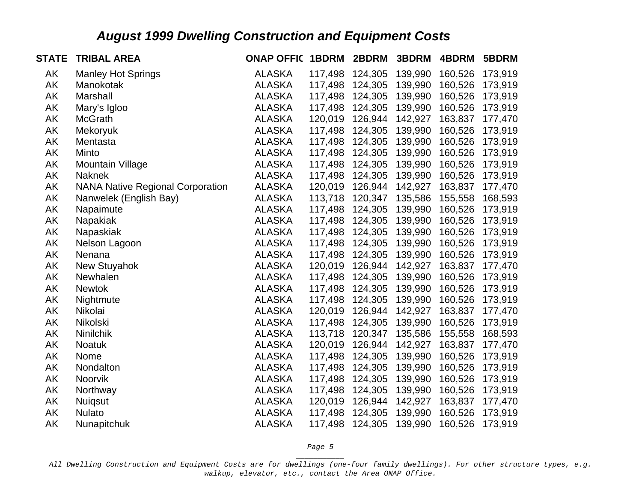| <b>STATE</b> | <b>TRIBAL AREA</b>                      | <b>ONAP OFFIC</b> | 1BDRM   | 2BDRM   | 3BDRM   | 4BDRM   | 5BDRM   |
|--------------|-----------------------------------------|-------------------|---------|---------|---------|---------|---------|
| AK           | <b>Manley Hot Springs</b>               | <b>ALASKA</b>     | 117,498 | 124,305 | 139,990 | 160,526 | 173,919 |
| AK           | Manokotak                               | <b>ALASKA</b>     | 117,498 | 124,305 | 139,990 | 160,526 | 173,919 |
| AK           | Marshall                                | <b>ALASKA</b>     | 117,498 | 124,305 | 139,990 | 160,526 | 173,919 |
| AK           | Mary's Igloo                            | <b>ALASKA</b>     | 117,498 | 124,305 | 139,990 | 160,526 | 173,919 |
| AK           | <b>McGrath</b>                          | <b>ALASKA</b>     | 120,019 | 126,944 | 142,927 | 163,837 | 177,470 |
| AK           | Mekoryuk                                | <b>ALASKA</b>     | 117,498 | 124,305 | 139,990 | 160,526 | 173,919 |
| AK           | Mentasta                                | <b>ALASKA</b>     | 117,498 | 124,305 | 139,990 | 160,526 | 173,919 |
| AK           | Minto                                   | <b>ALASKA</b>     | 117,498 | 124,305 | 139,990 | 160,526 | 173,919 |
| AK           | Mountain Village                        | <b>ALASKA</b>     | 117,498 | 124,305 | 139,990 | 160,526 | 173,919 |
| AK           | <b>Naknek</b>                           | <b>ALASKA</b>     | 117,498 | 124,305 | 139,990 | 160,526 | 173,919 |
| AK           | <b>NANA Native Regional Corporation</b> | <b>ALASKA</b>     | 120,019 | 126,944 | 142,927 | 163,837 | 177,470 |
| AK           | Nanwelek (English Bay)                  | <b>ALASKA</b>     | 113,718 | 120,347 | 135,586 | 155,558 | 168,593 |
| AK           | Napaimute                               | <b>ALASKA</b>     | 117,498 | 124,305 | 139,990 | 160,526 | 173,919 |
| AK           | Napakiak                                | <b>ALASKA</b>     | 117,498 | 124,305 | 139,990 | 160,526 | 173,919 |
| AK           | Napaskiak                               | <b>ALASKA</b>     | 117,498 | 124,305 | 139,990 | 160,526 | 173,919 |
| AK           | Nelson Lagoon                           | <b>ALASKA</b>     | 117,498 | 124,305 | 139,990 | 160,526 | 173,919 |
| AK           | Nenana                                  | <b>ALASKA</b>     | 117,498 | 124,305 | 139,990 | 160,526 | 173,919 |
| AK           | <b>New Stuyahok</b>                     | <b>ALASKA</b>     | 120,019 | 126,944 | 142,927 | 163,837 | 177,470 |
| AK           | Newhalen                                | <b>ALASKA</b>     | 117,498 | 124,305 | 139,990 | 160,526 | 173,919 |
| AK           | <b>Newtok</b>                           | <b>ALASKA</b>     | 117,498 | 124,305 | 139,990 | 160,526 | 173,919 |
| AK           | Nightmute                               | <b>ALASKA</b>     | 117,498 | 124,305 | 139,990 | 160,526 | 173,919 |
| AK           | Nikolai                                 | <b>ALASKA</b>     | 120,019 | 126,944 | 142,927 | 163,837 | 177,470 |
| AK           | Nikolski                                | <b>ALASKA</b>     | 117,498 | 124,305 | 139,990 | 160,526 | 173,919 |
| AK           | <b>Ninilchik</b>                        | <b>ALASKA</b>     | 113,718 | 120,347 | 135,586 | 155,558 | 168,593 |
| AK           | <b>Noatuk</b>                           | <b>ALASKA</b>     | 120,019 | 126,944 | 142,927 | 163,837 | 177,470 |
| AK           | Nome                                    | <b>ALASKA</b>     | 117,498 | 124,305 | 139,990 | 160,526 | 173,919 |
| AK           | Nondalton                               | <b>ALASKA</b>     | 117,498 | 124,305 | 139,990 | 160,526 | 173,919 |
| AK           | Noorvik                                 | <b>ALASKA</b>     | 117,498 | 124,305 | 139,990 | 160,526 | 173,919 |
| AK           | Northway                                | <b>ALASKA</b>     | 117,498 | 124,305 | 139,990 | 160,526 | 173,919 |
| AK           | <b>Nuigsut</b>                          | <b>ALASKA</b>     | 120,019 | 126,944 | 142,927 | 163,837 | 177,470 |
| AK           | <b>Nulato</b>                           | <b>ALASKA</b>     | 117,498 | 124,305 | 139,990 | 160,526 | 173,919 |
| AK           | Nunapitchuk                             | <b>ALASKA</b>     | 117,498 | 124,305 | 139,990 | 160,526 | 173,919 |

*Page 5 \_\_\_\_\_\_\_\_\_\_\_*

*All Dwelling Construction and Equipment Costs are for dwellings (one-four family dwellings). For other structure types, e.g. walkup, elevator, etc., contact the Area ONAP Office.*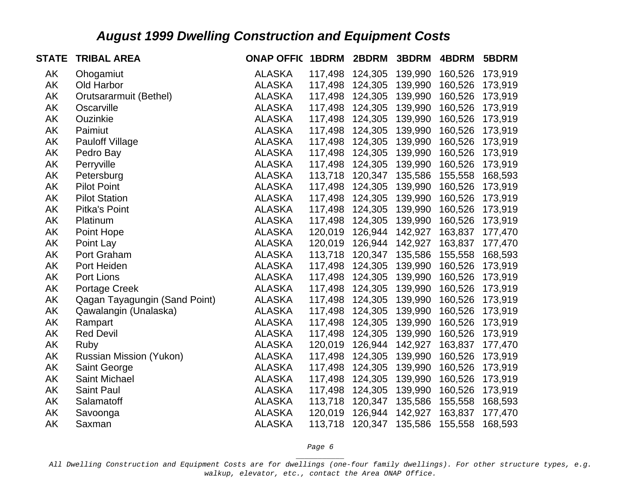| <b>STATE</b> | <b>TRIBAL AREA</b>            | <b>ONAP OFFIC</b> | 1BDRM   | 2BDRM   | 3BDRM   | 4BDRM   | 5BDRM   |
|--------------|-------------------------------|-------------------|---------|---------|---------|---------|---------|
| AK           | Ohogamiut                     | <b>ALASKA</b>     | 117,498 | 124,305 | 139,990 | 160,526 | 173,919 |
| AK           | Old Harbor                    | <b>ALASKA</b>     | 117,498 | 124,305 | 139,990 | 160,526 | 173,919 |
| AK           | Orutsararmuit (Bethel)        | <b>ALASKA</b>     | 117,498 | 124,305 | 139,990 | 160,526 | 173,919 |
| AK           | Oscarville                    | <b>ALASKA</b>     | 117,498 | 124,305 | 139,990 | 160,526 | 173,919 |
| AK           | Ouzinkie                      | <b>ALASKA</b>     | 117,498 | 124,305 | 139,990 | 160,526 | 173,919 |
| AK           | Paimiut                       | <b>ALASKA</b>     | 117,498 | 124,305 | 139,990 | 160,526 | 173,919 |
| AK           | <b>Pauloff Village</b>        | <b>ALASKA</b>     | 117,498 | 124,305 | 139,990 | 160,526 | 173,919 |
| AK           | Pedro Bay                     | <b>ALASKA</b>     | 117,498 | 124,305 | 139,990 | 160,526 | 173,919 |
| AK           | Perryville                    | <b>ALASKA</b>     | 117,498 | 124,305 | 139,990 | 160,526 | 173,919 |
| AK           | Petersburg                    | <b>ALASKA</b>     | 113,718 | 120,347 | 135,586 | 155,558 | 168,593 |
| AK           | <b>Pilot Point</b>            | <b>ALASKA</b>     | 117,498 | 124,305 | 139,990 | 160,526 | 173,919 |
| AK           | <b>Pilot Station</b>          | <b>ALASKA</b>     | 117,498 | 124,305 | 139,990 | 160,526 | 173,919 |
| AK           | Pitka's Point                 | <b>ALASKA</b>     | 117,498 | 124,305 | 139,990 | 160,526 | 173,919 |
| AK           | Platinum                      | <b>ALASKA</b>     | 117,498 | 124,305 | 139,990 | 160,526 | 173,919 |
| AK           | Point Hope                    | <b>ALASKA</b>     | 120,019 | 126,944 | 142,927 | 163,837 | 177,470 |
| AK           | Point Lay                     | <b>ALASKA</b>     | 120,019 | 126,944 | 142,927 | 163,837 | 177,470 |
| AK           | Port Graham                   | <b>ALASKA</b>     | 113,718 | 120,347 | 135,586 | 155,558 | 168,593 |
| AK           | Port Heiden                   | <b>ALASKA</b>     | 117,498 | 124,305 | 139,990 | 160,526 | 173,919 |
| AK           | Port Lions                    | <b>ALASKA</b>     | 117,498 | 124,305 | 139,990 | 160,526 | 173,919 |
| AK           | <b>Portage Creek</b>          | <b>ALASKA</b>     | 117,498 | 124,305 | 139,990 | 160,526 | 173,919 |
| AK           | Qagan Tayagungin (Sand Point) | <b>ALASKA</b>     | 117,498 | 124,305 | 139,990 | 160,526 | 173,919 |
| AK           | Qawalangin (Unalaska)         | <b>ALASKA</b>     | 117,498 | 124,305 | 139,990 | 160,526 | 173,919 |
| AK           | Rampart                       | <b>ALASKA</b>     | 117,498 | 124,305 | 139,990 | 160,526 | 173,919 |
| AK           | <b>Red Devil</b>              | <b>ALASKA</b>     | 117,498 | 124,305 | 139,990 | 160,526 | 173,919 |
| AK           | Ruby                          | <b>ALASKA</b>     | 120,019 | 126,944 | 142,927 | 163,837 | 177,470 |
| AK           | Russian Mission (Yukon)       | <b>ALASKA</b>     | 117,498 | 124,305 | 139,990 | 160,526 | 173,919 |
| AK           | Saint George                  | <b>ALASKA</b>     | 117,498 | 124,305 | 139,990 | 160,526 | 173,919 |
| AK           | Saint Michael                 | <b>ALASKA</b>     | 117,498 | 124,305 | 139,990 | 160,526 | 173,919 |
| AK           | <b>Saint Paul</b>             | <b>ALASKA</b>     | 117,498 | 124,305 | 139,990 | 160,526 | 173,919 |
| AK           | Salamatoff                    | <b>ALASKA</b>     | 113,718 | 120,347 | 135,586 | 155,558 | 168,593 |
| AK           | Savoonga                      | <b>ALASKA</b>     | 120,019 | 126,944 | 142,927 | 163,837 | 177,470 |
| AK           | Saxman                        | <b>ALASKA</b>     | 113,718 | 120,347 | 135,586 | 155,558 | 168,593 |

*Page 6 \_\_\_\_\_\_\_\_\_\_\_*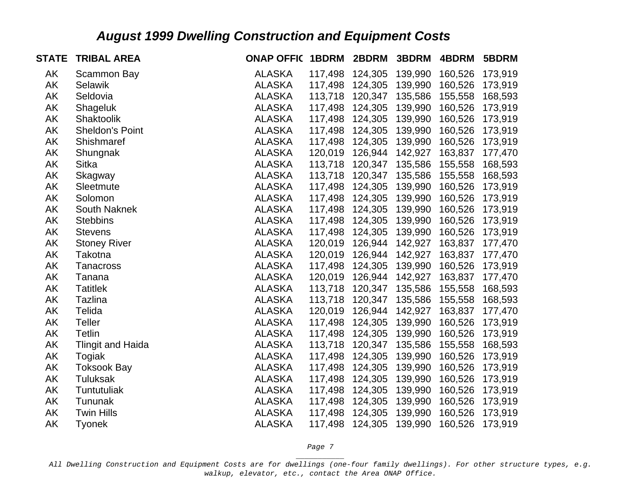| <b>STATE</b> | <b>TRIBAL AREA</b>       | <b>ONAP OFFIC 1BDRM</b> |         | 2BDRM           | 3BDRM   | 4BDRM   | 5BDRM   |
|--------------|--------------------------|-------------------------|---------|-----------------|---------|---------|---------|
| AK           | Scammon Bay              | <b>ALASKA</b>           | 117,498 | 124,305         | 139,990 | 160,526 | 173,919 |
| AK           | <b>Selawik</b>           | <b>ALASKA</b>           | 117,498 | 124,305         | 139,990 | 160,526 | 173,919 |
| AK           | Seldovia                 | <b>ALASKA</b>           | 113,718 | 120,347         | 135,586 | 155,558 | 168,593 |
| AK           | Shageluk                 | <b>ALASKA</b>           | 117,498 | 124,305         | 139,990 | 160,526 | 173,919 |
| AK           | Shaktoolik               | <b>ALASKA</b>           | 117,498 | 124,305         | 139,990 | 160,526 | 173,919 |
| AK           | <b>Sheldon's Point</b>   | <b>ALASKA</b>           | 117,498 | 124,305         | 139,990 | 160,526 | 173,919 |
| AK           | Shishmaref               | <b>ALASKA</b>           |         | 117,498 124,305 | 139,990 | 160,526 | 173,919 |
| AK           | Shungnak                 | <b>ALASKA</b>           |         | 120,019 126,944 | 142,927 | 163,837 | 177,470 |
| AK           | <b>Sitka</b>             | <b>ALASKA</b>           | 113,718 | 120,347         | 135,586 | 155,558 | 168,593 |
| AK           | Skagway                  | <b>ALASKA</b>           | 113,718 | 120,347         | 135,586 | 155,558 | 168,593 |
| AK           | Sleetmute                | <b>ALASKA</b>           | 117,498 | 124,305         | 139,990 | 160,526 | 173,919 |
| AK           | Solomon                  | <b>ALASKA</b>           |         | 117,498 124,305 | 139,990 | 160,526 | 173,919 |
| AK           | South Naknek             | <b>ALASKA</b>           | 117,498 | 124,305         | 139,990 | 160,526 | 173,919 |
| AK           | <b>Stebbins</b>          | <b>ALASKA</b>           | 117,498 | 124,305         | 139,990 | 160,526 | 173,919 |
| AK           | <b>Stevens</b>           | <b>ALASKA</b>           |         | 117,498 124,305 | 139,990 | 160,526 | 173,919 |
| AK           | <b>Stoney River</b>      | <b>ALASKA</b>           |         | 120,019 126,944 | 142,927 | 163,837 | 177,470 |
| AK           | Takotna                  | <b>ALASKA</b>           | 120,019 | 126,944         | 142,927 | 163,837 | 177,470 |
| AK           | Tanacross                | <b>ALASKA</b>           | 117,498 | 124,305         | 139,990 | 160,526 | 173,919 |
| AK           | Tanana                   | <b>ALASKA</b>           | 120,019 | 126,944         | 142,927 | 163,837 | 177,470 |
| AK           | <b>Tatitlek</b>          | <b>ALASKA</b>           |         | 113,718 120,347 | 135,586 | 155,558 | 168,593 |
| AK           | Tazlina                  | <b>ALASKA</b>           |         | 113,718 120,347 | 135,586 | 155,558 | 168,593 |
| AK           | Telida                   | <b>ALASKA</b>           | 120,019 | 126,944         | 142,927 | 163,837 | 177,470 |
| AK           | <b>Teller</b>            | <b>ALASKA</b>           | 117,498 | 124,305         | 139,990 | 160,526 | 173,919 |
| AK           | <b>Tetlin</b>            | <b>ALASKA</b>           |         | 117,498 124,305 | 139,990 | 160,526 | 173,919 |
| AK           | <b>Tlingit and Haida</b> | <b>ALASKA</b>           | 113,718 | 120,347         | 135,586 | 155,558 | 168,593 |
| AK           | Togiak                   | <b>ALASKA</b>           | 117,498 | 124,305         | 139,990 | 160,526 | 173,919 |
| AK           | <b>Toksook Bay</b>       | <b>ALASKA</b>           | 117,498 | 124,305         | 139,990 | 160,526 | 173,919 |
| AK           | Tuluksak                 | <b>ALASKA</b>           | 117,498 | 124,305         | 139,990 | 160,526 | 173,919 |
| AK           | Tuntutuliak              | <b>ALASKA</b>           | 117,498 | 124,305         | 139,990 | 160,526 | 173,919 |
| AK           | Tununak                  | <b>ALASKA</b>           | 117,498 | 124,305         | 139,990 | 160,526 | 173,919 |
| AK           | <b>Twin Hills</b>        | <b>ALASKA</b>           | 117,498 | 124,305         | 139,990 | 160,526 | 173,919 |
| AK           | <b>Tyonek</b>            | <b>ALASKA</b>           | 117,498 | 124,305         | 139,990 | 160,526 | 173,919 |

*Page 7 \_\_\_\_\_\_\_\_\_\_\_*

*All Dwelling Construction and Equipment Costs are for dwellings (one-four family dwellings). For other structure types, e.g. walkup, elevator, etc., contact the Area ONAP Office.*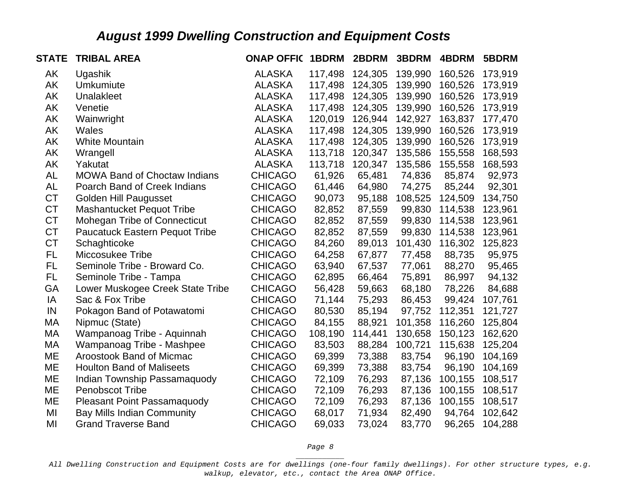| <b>STATE</b> | <b>TRIBAL AREA</b>                    | <b>ONAP OFFIC</b> | 1BDRM   | 2BDRM   | 3BDRM   | 4BDRM   | 5BDRM   |
|--------------|---------------------------------------|-------------------|---------|---------|---------|---------|---------|
| AK           | Ugashik                               | <b>ALASKA</b>     | 117,498 | 124,305 | 139,990 | 160,526 | 173,919 |
| AK           | <b>Umkumiute</b>                      | <b>ALASKA</b>     | 117,498 | 124,305 | 139,990 | 160,526 | 173,919 |
| AK           | <b>Unalakleet</b>                     | <b>ALASKA</b>     | 117,498 | 124,305 | 139,990 | 160,526 | 173,919 |
| AK           | Venetie                               | <b>ALASKA</b>     | 117,498 | 124,305 | 139,990 | 160,526 | 173,919 |
| AK           | Wainwright                            | <b>ALASKA</b>     | 120,019 | 126,944 | 142,927 | 163,837 | 177,470 |
| AK           | Wales                                 | <b>ALASKA</b>     | 117,498 | 124,305 | 139,990 | 160,526 | 173,919 |
| AK           | <b>White Mountain</b>                 | <b>ALASKA</b>     | 117,498 | 124,305 | 139,990 | 160,526 | 173,919 |
| AK           | Wrangell                              | <b>ALASKA</b>     | 113,718 | 120,347 | 135,586 | 155,558 | 168,593 |
| AK           | Yakutat                               | <b>ALASKA</b>     | 113,718 | 120,347 | 135,586 | 155,558 | 168,593 |
| AL           | <b>MOWA Band of Choctaw Indians</b>   | <b>CHICAGO</b>    | 61,926  | 65,481  | 74,836  | 85,874  | 92,973  |
| <b>AL</b>    | Poarch Band of Creek Indians          | <b>CHICAGO</b>    | 61,446  | 64,980  | 74,275  | 85,244  | 92,301  |
| <b>CT</b>    | <b>Golden Hill Paugusset</b>          | <b>CHICAGO</b>    | 90,073  | 95,188  | 108,525 | 124,509 | 134,750 |
| <b>CT</b>    | <b>Mashantucket Pequot Tribe</b>      | <b>CHICAGO</b>    | 82,852  | 87,559  | 99,830  | 114,538 | 123,961 |
| <b>CT</b>    | <b>Mohegan Tribe of Connecticut</b>   | <b>CHICAGO</b>    | 82,852  | 87,559  | 99,830  | 114,538 | 123,961 |
| <b>CT</b>    | <b>Paucatuck Eastern Pequot Tribe</b> | <b>CHICAGO</b>    | 82,852  | 87,559  | 99,830  | 114,538 | 123,961 |
| <b>CT</b>    | Schaghticoke                          | <b>CHICAGO</b>    | 84,260  | 89,013  | 101,430 | 116,302 | 125,823 |
| <b>FL</b>    | Miccosukee Tribe                      | <b>CHICAGO</b>    | 64,258  | 67,877  | 77,458  | 88,735  | 95,975  |
| FL           | Seminole Tribe - Broward Co.          | <b>CHICAGO</b>    | 63,940  | 67,537  | 77,061  | 88,270  | 95,465  |
| <b>FL</b>    | Seminole Tribe - Tampa                | <b>CHICAGO</b>    | 62,895  | 66,464  | 75,891  | 86,997  | 94,132  |
| GA           | Lower Muskogee Creek State Tribe      | <b>CHICAGO</b>    | 56,428  | 59,663  | 68,180  | 78,226  | 84,688  |
| IA           | Sac & Fox Tribe                       | <b>CHICAGO</b>    | 71,144  | 75,293  | 86,453  | 99,424  | 107,761 |
| IN           | Pokagon Band of Potawatomi            | <b>CHICAGO</b>    | 80,530  | 85,194  | 97,752  | 112,351 | 121,727 |
| МA           | Nipmuc (State)                        | <b>CHICAGO</b>    | 84,155  | 88,921  | 101,358 | 116,260 | 125,804 |
| MA           | Wampanoag Tribe - Aquinnah            | <b>CHICAGO</b>    | 108,190 | 114,441 | 130,658 | 150,123 | 162,620 |
| МA           | Wampanoag Tribe - Mashpee             | <b>CHICAGO</b>    | 83,503  | 88,284  | 100,721 | 115,638 | 125,204 |
| ME           | Aroostook Band of Micmac              | <b>CHICAGO</b>    | 69,399  | 73,388  | 83,754  | 96,190  | 104,169 |
| ME           | <b>Houlton Band of Maliseets</b>      | <b>CHICAGO</b>    | 69,399  | 73,388  | 83,754  | 96,190  | 104,169 |
| ME           | Indian Township Passamaquody          | <b>CHICAGO</b>    | 72,109  | 76,293  | 87,136  | 100,155 | 108,517 |
| ME           | <b>Penobscot Tribe</b>                | <b>CHICAGO</b>    | 72,109  | 76,293  | 87,136  | 100,155 | 108,517 |
| ME           | <b>Pleasant Point Passamaquody</b>    | <b>CHICAGO</b>    | 72,109  | 76,293  | 87,136  | 100,155 | 108,517 |
| MI           | <b>Bay Mills Indian Community</b>     | <b>CHICAGO</b>    | 68,017  | 71,934  | 82,490  | 94,764  | 102,642 |
| MI           | <b>Grand Traverse Band</b>            | <b>CHICAGO</b>    | 69,033  | 73,024  | 83,770  | 96,265  | 104,288 |

*Page 8 \_\_\_\_\_\_\_\_\_\_\_*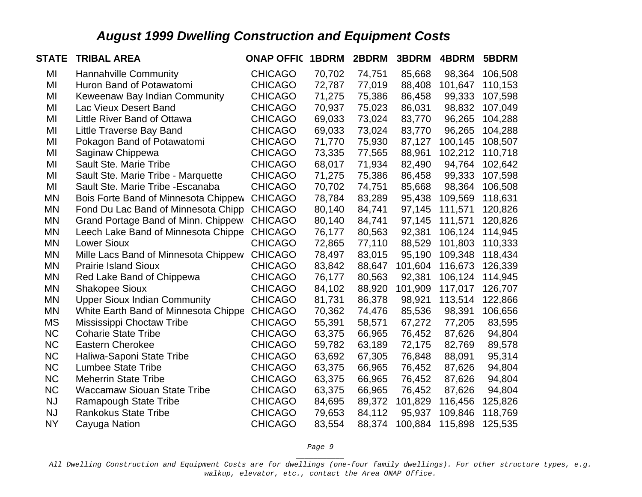| <b>STATE</b> | <b>TRIBAL AREA</b>                   | <b>ONAP OFFIC 1BDRM</b> |        | 2BDRM  | 3BDRM   | 4BDRM   | 5BDRM   |
|--------------|--------------------------------------|-------------------------|--------|--------|---------|---------|---------|
| MI           | <b>Hannahville Community</b>         | <b>CHICAGO</b>          | 70,702 | 74,751 | 85,668  | 98,364  | 106,508 |
| MI           | Huron Band of Potawatomi             | <b>CHICAGO</b>          | 72,787 | 77,019 | 88,408  | 101,647 | 110,153 |
| MI           | Keweenaw Bay Indian Community        | <b>CHICAGO</b>          | 71,275 | 75,386 | 86,458  | 99,333  | 107,598 |
| MI           | Lac Vieux Desert Band                | <b>CHICAGO</b>          | 70,937 | 75,023 | 86,031  | 98,832  | 107,049 |
| MI           | Little River Band of Ottawa          | <b>CHICAGO</b>          | 69,033 | 73,024 | 83,770  | 96,265  | 104,288 |
| MI           | Little Traverse Bay Band             | <b>CHICAGO</b>          | 69,033 | 73,024 | 83,770  | 96,265  | 104,288 |
| MI           | Pokagon Band of Potawatomi           | <b>CHICAGO</b>          | 71,770 | 75,930 | 87,127  | 100,145 | 108,507 |
| MI           | Saginaw Chippewa                     | <b>CHICAGO</b>          | 73,335 | 77,565 | 88,961  | 102,212 | 110,718 |
| MI           | Sault Ste. Marie Tribe               | <b>CHICAGO</b>          | 68,017 | 71,934 | 82,490  | 94,764  | 102,642 |
| MI           | Sault Ste. Marie Tribe - Marquette   | <b>CHICAGO</b>          | 71,275 | 75,386 | 86,458  | 99,333  | 107,598 |
| MI           | Sault Ste. Marie Tribe - Escanaba    | <b>CHICAGO</b>          | 70,702 | 74,751 | 85,668  | 98,364  | 106,508 |
| <b>MN</b>    | Bois Forte Band of Minnesota Chippew | <b>CHICAGO</b>          | 78,784 | 83,289 | 95,438  | 109,569 | 118,631 |
| MN           | Fond Du Lac Band of Minnesota Chipp  | <b>CHICAGO</b>          | 80,140 | 84,741 | 97,145  | 111,571 | 120,826 |
| MN           | Grand Portage Band of Minn. Chippew  | <b>CHICAGO</b>          | 80,140 | 84,741 | 97,145  | 111,571 | 120,826 |
| MN           | Leech Lake Band of Minnesota Chippe  | <b>CHICAGO</b>          | 76,177 | 80,563 | 92,381  | 106,124 | 114,945 |
| MN           | <b>Lower Sioux</b>                   | <b>CHICAGO</b>          | 72,865 | 77,110 | 88,529  | 101,803 | 110,333 |
| <b>MN</b>    | Mille Lacs Band of Minnesota Chippew | <b>CHICAGO</b>          | 78,497 | 83,015 | 95,190  | 109,348 | 118,434 |
| <b>MN</b>    | <b>Prairie Island Sioux</b>          | <b>CHICAGO</b>          | 83,842 | 88,647 | 101,604 | 116,673 | 126,339 |
| <b>MN</b>    | Red Lake Band of Chippewa            | <b>CHICAGO</b>          | 76,177 | 80,563 | 92,381  | 106,124 | 114,945 |
| MN           | <b>Shakopee Sioux</b>                | <b>CHICAGO</b>          | 84,102 | 88,920 | 101,909 | 117,017 | 126,707 |
| MN           | <b>Upper Sioux Indian Community</b>  | <b>CHICAGO</b>          | 81,731 | 86,378 | 98,921  | 113,514 | 122,866 |
| <b>MN</b>    | White Earth Band of Minnesota Chippe | <b>CHICAGO</b>          | 70,362 | 74,476 | 85,536  | 98,391  | 106,656 |
| MS           | Mississippi Choctaw Tribe            | <b>CHICAGO</b>          | 55,391 | 58,571 | 67,272  | 77,205  | 83,595  |
| <b>NC</b>    | <b>Coharie State Tribe</b>           | <b>CHICAGO</b>          | 63,375 | 66,965 | 76,452  | 87,626  | 94,804  |
| <b>NC</b>    | <b>Eastern Cherokee</b>              | <b>CHICAGO</b>          | 59,782 | 63,189 | 72,175  | 82,769  | 89,578  |
| <b>NC</b>    | Haliwa-Saponi State Tribe            | <b>CHICAGO</b>          | 63,692 | 67,305 | 76,848  | 88,091  | 95,314  |
| <b>NC</b>    | <b>Lumbee State Tribe</b>            | <b>CHICAGO</b>          | 63,375 | 66,965 | 76,452  | 87,626  | 94,804  |
| <b>NC</b>    | <b>Meherrin State Tribe</b>          | <b>CHICAGO</b>          | 63,375 | 66,965 | 76,452  | 87,626  | 94,804  |
| <b>NC</b>    | <b>Waccamaw Siouan State Tribe</b>   | <b>CHICAGO</b>          | 63,375 | 66,965 | 76,452  | 87,626  | 94,804  |
| <b>NJ</b>    | <b>Ramapough State Tribe</b>         | <b>CHICAGO</b>          | 84,695 | 89,372 | 101,829 | 116,456 | 125,826 |
| <b>NJ</b>    | <b>Rankokus State Tribe</b>          | <b>CHICAGO</b>          | 79,653 | 84,112 | 95,937  | 109,846 | 118,769 |
| <b>NY</b>    | Cayuga Nation                        | <b>CHICAGO</b>          | 83,554 | 88,374 | 100,884 | 115,898 | 125,535 |

*Page 9 \_\_\_\_\_\_\_\_\_\_\_*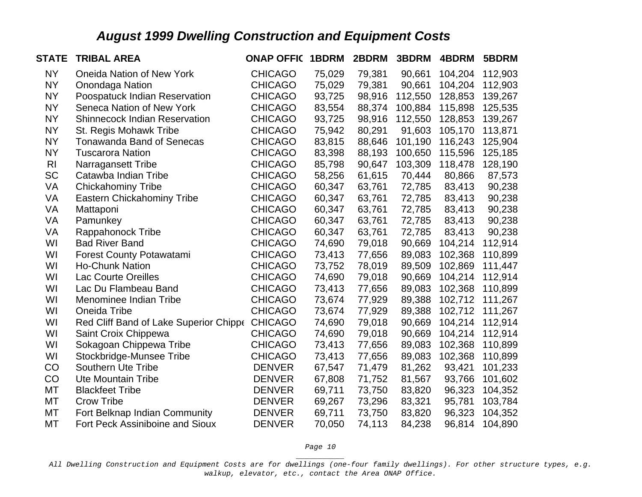| <b>STATE</b>   | <b>TRIBAL AREA</b>                             | <b>ONAP OFFIC</b> | 1BDRM  | 2BDRM  | 3BDRM   | 4BDRM   | 5BDRM   |
|----------------|------------------------------------------------|-------------------|--------|--------|---------|---------|---------|
| <b>NY</b>      | <b>Oneida Nation of New York</b>               | <b>CHICAGO</b>    | 75,029 | 79,381 | 90,661  | 104,204 | 112,903 |
| <b>NY</b>      | Onondaga Nation                                | <b>CHICAGO</b>    | 75,029 | 79,381 | 90,661  | 104,204 | 112,903 |
| <b>NY</b>      | Poospatuck Indian Reservation                  | <b>CHICAGO</b>    | 93,725 | 98,916 | 112,550 | 128,853 | 139,267 |
| <b>NY</b>      | Seneca Nation of New York                      | <b>CHICAGO</b>    | 83,554 | 88,374 | 100,884 | 115,898 | 125,535 |
| <b>NY</b>      | <b>Shinnecock Indian Reservation</b>           | <b>CHICAGO</b>    | 93,725 | 98,916 | 112,550 | 128,853 | 139,267 |
| <b>NY</b>      | St. Regis Mohawk Tribe                         | <b>CHICAGO</b>    | 75,942 | 80,291 | 91,603  | 105,170 | 113,871 |
| <b>NY</b>      | <b>Tonawanda Band of Senecas</b>               | <b>CHICAGO</b>    | 83,815 | 88,646 | 101,190 | 116,243 | 125,904 |
| <b>NY</b>      | <b>Tuscarora Nation</b>                        | <b>CHICAGO</b>    | 83,398 | 88,193 | 100,650 | 115,596 | 125,185 |
| R <sub>l</sub> | <b>Narragansett Tribe</b>                      | <b>CHICAGO</b>    | 85,798 | 90,647 | 103,309 | 118,478 | 128,190 |
| <b>SC</b>      | Catawba Indian Tribe                           | <b>CHICAGO</b>    | 58,256 | 61,615 | 70,444  | 80,866  | 87,573  |
| VA             | <b>Chickahominy Tribe</b>                      | <b>CHICAGO</b>    | 60,347 | 63,761 | 72,785  | 83,413  | 90,238  |
| VA             | <b>Eastern Chickahominy Tribe</b>              | <b>CHICAGO</b>    | 60,347 | 63,761 | 72,785  | 83,413  | 90,238  |
| VA             | Mattaponi                                      | <b>CHICAGO</b>    | 60,347 | 63,761 | 72,785  | 83,413  | 90,238  |
| VA             | Pamunkey                                       | <b>CHICAGO</b>    | 60,347 | 63,761 | 72,785  | 83,413  | 90,238  |
| VA             | Rappahonock Tribe                              | <b>CHICAGO</b>    | 60,347 | 63,761 | 72,785  | 83,413  | 90,238  |
| WI             | <b>Bad River Band</b>                          | <b>CHICAGO</b>    | 74,690 | 79,018 | 90,669  | 104,214 | 112,914 |
| WI             | <b>Forest County Potawatami</b>                | <b>CHICAGO</b>    | 73,413 | 77,656 | 89,083  | 102,368 | 110,899 |
| WI             | <b>Ho-Chunk Nation</b>                         | <b>CHICAGO</b>    | 73,752 | 78,019 | 89,509  | 102,869 | 111,447 |
| WI             | <b>Lac Courte Oreilles</b>                     | <b>CHICAGO</b>    | 74,690 | 79,018 | 90,669  | 104,214 | 112,914 |
| WI             | Lac Du Flambeau Band                           | <b>CHICAGO</b>    | 73,413 | 77,656 | 89,083  | 102,368 | 110,899 |
| WI             | Menominee Indian Tribe                         | <b>CHICAGO</b>    | 73,674 | 77,929 | 89,388  | 102,712 | 111,267 |
| WI             | Oneida Tribe                                   | <b>CHICAGO</b>    | 73,674 | 77,929 | 89,388  | 102,712 | 111,267 |
| WI             | Red Cliff Band of Lake Superior Chippe CHICAGO |                   | 74,690 | 79,018 | 90,669  | 104,214 | 112,914 |
| WI             | Saint Croix Chippewa                           | <b>CHICAGO</b>    | 74,690 | 79,018 | 90,669  | 104,214 | 112,914 |
| WI             | Sokagoan Chippewa Tribe                        | <b>CHICAGO</b>    | 73,413 | 77,656 | 89,083  | 102,368 | 110,899 |
| WI             | Stockbridge-Munsee Tribe                       | <b>CHICAGO</b>    | 73,413 | 77,656 | 89,083  | 102,368 | 110,899 |
| CO             | <b>Southern Ute Tribe</b>                      | <b>DENVER</b>     | 67,547 | 71,479 | 81,262  | 93,421  | 101,233 |
| CO             | <b>Ute Mountain Tribe</b>                      | <b>DENVER</b>     | 67,808 | 71,752 | 81,567  | 93,766  | 101,602 |
| MT             | <b>Blackfeet Tribe</b>                         | <b>DENVER</b>     | 69,711 | 73,750 | 83,820  | 96,323  | 104,352 |
| MT             | <b>Crow Tribe</b>                              | <b>DENVER</b>     | 69,267 | 73,296 | 83,321  | 95,781  | 103,784 |
| MT             | Fort Belknap Indian Community                  | <b>DENVER</b>     | 69,711 | 73,750 | 83,820  | 96,323  | 104,352 |
| MT             | <b>Fort Peck Assiniboine and Sioux</b>         | <b>DENVER</b>     | 70,050 | 74,113 | 84,238  | 96,814  | 104,890 |

*Page 10 \_\_\_\_\_\_\_\_\_\_\_*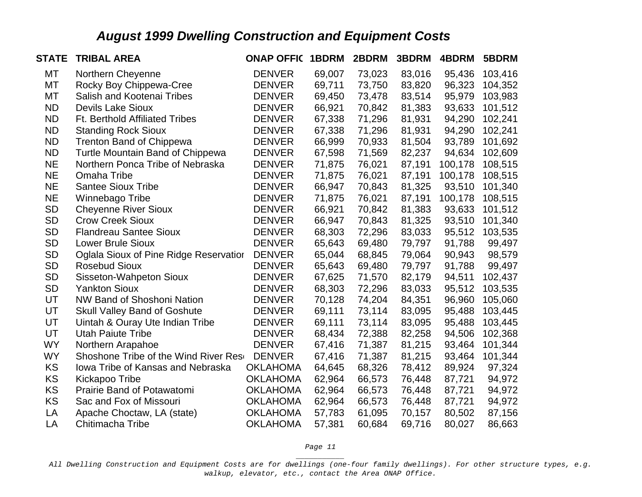| <b>STATE</b> | <b>TRIBAL AREA</b>                     | <b>ONAP OFFIC 1BDRM</b> |        | 2BDRM  | 3BDRM  | 4BDRM   | 5BDRM   |
|--------------|----------------------------------------|-------------------------|--------|--------|--------|---------|---------|
| МT           | Northern Cheyenne                      | <b>DENVER</b>           | 69,007 | 73,023 | 83,016 | 95,436  | 103,416 |
| МT           | Rocky Boy Chippewa-Cree                | <b>DENVER</b>           | 69,711 | 73,750 | 83,820 | 96,323  | 104,352 |
| MT           | Salish and Kootenai Tribes             | <b>DENVER</b>           | 69,450 | 73,478 | 83,514 | 95,979  | 103,983 |
| <b>ND</b>    | <b>Devils Lake Sioux</b>               | <b>DENVER</b>           | 66,921 | 70,842 | 81,383 | 93,633  | 101,512 |
| <b>ND</b>    | <b>Ft. Berthold Affiliated Tribes</b>  | <b>DENVER</b>           | 67,338 | 71,296 | 81,931 | 94,290  | 102,241 |
| <b>ND</b>    | <b>Standing Rock Sioux</b>             | <b>DENVER</b>           | 67,338 | 71,296 | 81,931 | 94,290  | 102,241 |
| <b>ND</b>    | <b>Trenton Band of Chippewa</b>        | <b>DENVER</b>           | 66,999 | 70,933 | 81,504 | 93,789  | 101,692 |
| <b>ND</b>    | Turtle Mountain Band of Chippewa       | <b>DENVER</b>           | 67,598 | 71,569 | 82,237 | 94,634  | 102,609 |
| <b>NE</b>    | Northern Ponca Tribe of Nebraska       | <b>DENVER</b>           | 71,875 | 76,021 | 87,191 | 100,178 | 108,515 |
| <b>NE</b>    | Omaha Tribe                            | <b>DENVER</b>           | 71,875 | 76,021 | 87,191 | 100,178 | 108,515 |
| <b>NE</b>    | <b>Santee Sioux Tribe</b>              | <b>DENVER</b>           | 66,947 | 70,843 | 81,325 | 93,510  | 101,340 |
| <b>NE</b>    | Winnebago Tribe                        | <b>DENVER</b>           | 71,875 | 76,021 | 87,191 | 100,178 | 108,515 |
| <b>SD</b>    | <b>Cheyenne River Sioux</b>            | <b>DENVER</b>           | 66,921 | 70,842 | 81,383 | 93,633  | 101,512 |
| <b>SD</b>    | <b>Crow Creek Sioux</b>                | <b>DENVER</b>           | 66,947 | 70,843 | 81,325 | 93,510  | 101,340 |
| <b>SD</b>    | <b>Flandreau Santee Sioux</b>          | <b>DENVER</b>           | 68,303 | 72,296 | 83,033 | 95,512  | 103,535 |
| <b>SD</b>    | <b>Lower Brule Sioux</b>               | <b>DENVER</b>           | 65,643 | 69,480 | 79,797 | 91,788  | 99,497  |
| <b>SD</b>    | Oglala Sioux of Pine Ridge Reservation | <b>DENVER</b>           | 65,044 | 68,845 | 79,064 | 90,943  | 98,579  |
| <b>SD</b>    | <b>Rosebud Sioux</b>                   | <b>DENVER</b>           | 65,643 | 69,480 | 79,797 | 91,788  | 99,497  |
| <b>SD</b>    | Sisseton-Wahpeton Sioux                | <b>DENVER</b>           | 67,625 | 71,570 | 82,179 | 94,511  | 102,437 |
| <b>SD</b>    | <b>Yankton Sioux</b>                   | <b>DENVER</b>           | 68,303 | 72,296 | 83,033 | 95,512  | 103,535 |
| UT           | <b>NW Band of Shoshoni Nation</b>      | <b>DENVER</b>           | 70,128 | 74,204 | 84,351 | 96,960  | 105,060 |
| UT           | <b>Skull Valley Band of Goshute</b>    | <b>DENVER</b>           | 69,111 | 73,114 | 83,095 | 95,488  | 103,445 |
| UT           | Uintah & Ouray Ute Indian Tribe        | <b>DENVER</b>           | 69,111 | 73,114 | 83,095 | 95,488  | 103,445 |
| UT           | <b>Utah Paiute Tribe</b>               | <b>DENVER</b>           | 68,434 | 72,388 | 82,258 | 94,506  | 102,368 |
| <b>WY</b>    | Northern Arapahoe                      | <b>DENVER</b>           | 67,416 | 71,387 | 81,215 | 93,464  | 101,344 |
| <b>WY</b>    | Shoshone Tribe of the Wind River Rese  | <b>DENVER</b>           | 67,416 | 71,387 | 81,215 | 93,464  | 101,344 |
| <b>KS</b>    | Iowa Tribe of Kansas and Nebraska      | <b>OKLAHOMA</b>         | 64,645 | 68,326 | 78,412 | 89,924  | 97,324  |
| KS           | Kickapoo Tribe                         | <b>OKLAHOMA</b>         | 62,964 | 66,573 | 76,448 | 87,721  | 94,972  |
| KS           | Prairie Band of Potawatomi             | <b>OKLAHOMA</b>         | 62,964 | 66,573 | 76,448 | 87,721  | 94,972  |
| KS           | Sac and Fox of Missouri                | <b>OKLAHOMA</b>         | 62,964 | 66,573 | 76,448 | 87,721  | 94,972  |
| LA           | Apache Choctaw, LA (state)             | <b>OKLAHOMA</b>         | 57,783 | 61,095 | 70,157 | 80,502  | 87,156  |
| LA           | Chitimacha Tribe                       | <b>OKLAHOMA</b>         | 57,381 | 60,684 | 69,716 | 80,027  | 86,663  |

*Page 11 \_\_\_\_\_\_\_\_\_\_\_*

*All Dwelling Construction and Equipment Costs are for dwellings (one-four family dwellings). For other structure types, e.g. walkup, elevator, etc., contact the Area ONAP Office.*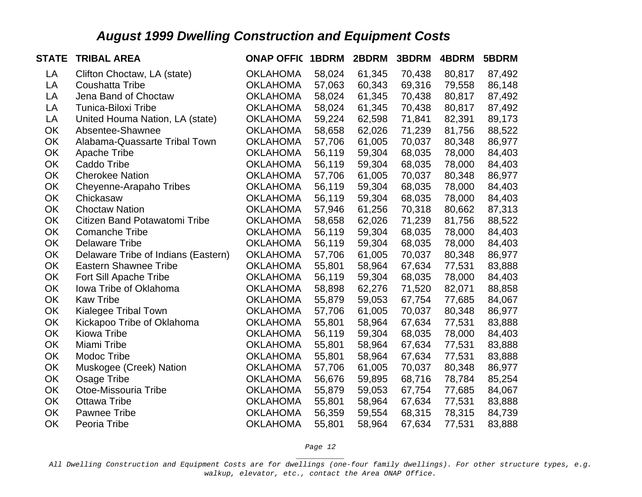| <b>STATE</b> | <b>TRIBAL AREA</b>                  | <b>ONAP OFFIC 1BDRM</b> |        | 2BDRM  | 3BDRM  | 4BDRM  | 5BDRM  |
|--------------|-------------------------------------|-------------------------|--------|--------|--------|--------|--------|
| LA           | Clifton Choctaw, LA (state)         | <b>OKLAHOMA</b>         | 58,024 | 61,345 | 70,438 | 80,817 | 87,492 |
| LA           | <b>Coushatta Tribe</b>              | <b>OKLAHOMA</b>         | 57,063 | 60,343 | 69,316 | 79,558 | 86,148 |
| LA           | Jena Band of Choctaw                | <b>OKLAHOMA</b>         | 58,024 | 61,345 | 70,438 | 80,817 | 87,492 |
| LA           | Tunica-Biloxi Tribe                 | <b>OKLAHOMA</b>         | 58,024 | 61,345 | 70,438 | 80,817 | 87,492 |
| LA           | United Houma Nation, LA (state)     | <b>OKLAHOMA</b>         | 59,224 | 62,598 | 71,841 | 82,391 | 89,173 |
| <b>OK</b>    | Absentee-Shawnee                    | <b>OKLAHOMA</b>         | 58,658 | 62,026 | 71,239 | 81,756 | 88,522 |
| OK           | Alabama-Quassarte Tribal Town       | <b>OKLAHOMA</b>         | 57,706 | 61,005 | 70,037 | 80,348 | 86,977 |
| <b>OK</b>    | <b>Apache Tribe</b>                 | <b>OKLAHOMA</b>         | 56,119 | 59,304 | 68,035 | 78,000 | 84,403 |
| OK           | Caddo Tribe                         | <b>OKLAHOMA</b>         | 56,119 | 59,304 | 68,035 | 78,000 | 84,403 |
| OK           | <b>Cherokee Nation</b>              | <b>OKLAHOMA</b>         | 57,706 | 61,005 | 70,037 | 80,348 | 86,977 |
| OK           | Cheyenne-Arapaho Tribes             | <b>OKLAHOMA</b>         | 56,119 | 59,304 | 68,035 | 78,000 | 84,403 |
| OK           | Chickasaw                           | <b>OKLAHOMA</b>         | 56,119 | 59,304 | 68,035 | 78,000 | 84,403 |
| OK           | <b>Choctaw Nation</b>               | <b>OKLAHOMA</b>         | 57,946 | 61,256 | 70,318 | 80,662 | 87,313 |
| OK           | Citizen Band Potawatomi Tribe       | <b>OKLAHOMA</b>         | 58,658 | 62,026 | 71,239 | 81,756 | 88,522 |
| OK           | <b>Comanche Tribe</b>               | <b>OKLAHOMA</b>         | 56,119 | 59,304 | 68,035 | 78,000 | 84,403 |
| OK           | <b>Delaware Tribe</b>               | <b>OKLAHOMA</b>         | 56,119 | 59,304 | 68,035 | 78,000 | 84,403 |
| OK           | Delaware Tribe of Indians (Eastern) | <b>OKLAHOMA</b>         | 57,706 | 61,005 | 70,037 | 80,348 | 86,977 |
| OK           | <b>Eastern Shawnee Tribe</b>        | <b>OKLAHOMA</b>         | 55,801 | 58,964 | 67,634 | 77,531 | 83,888 |
| OK           | Fort Sill Apache Tribe              | <b>OKLAHOMA</b>         | 56,119 | 59,304 | 68,035 | 78,000 | 84,403 |
| OK           | Iowa Tribe of Oklahoma              | <b>OKLAHOMA</b>         | 58,898 | 62,276 | 71,520 | 82,071 | 88,858 |
| OK           | <b>Kaw Tribe</b>                    | <b>OKLAHOMA</b>         | 55,879 | 59,053 | 67,754 | 77,685 | 84,067 |
| OK           | Kialegee Tribal Town                | <b>OKLAHOMA</b>         | 57,706 | 61,005 | 70,037 | 80,348 | 86,977 |
| OK           | Kickapoo Tribe of Oklahoma          | <b>OKLAHOMA</b>         | 55,801 | 58,964 | 67,634 | 77,531 | 83,888 |
| OK           | Kiowa Tribe                         | <b>OKLAHOMA</b>         | 56,119 | 59,304 | 68,035 | 78,000 | 84,403 |
| OK           | Miami Tribe                         | <b>OKLAHOMA</b>         | 55,801 | 58,964 | 67,634 | 77,531 | 83,888 |
| <b>OK</b>    | Modoc Tribe                         | <b>OKLAHOMA</b>         | 55,801 | 58,964 | 67,634 | 77,531 | 83,888 |
| OK           | Muskogee (Creek) Nation             | <b>OKLAHOMA</b>         | 57,706 | 61,005 | 70,037 | 80,348 | 86,977 |
| OK           | Osage Tribe                         | <b>OKLAHOMA</b>         | 56,676 | 59,895 | 68,716 | 78,784 | 85,254 |
| <b>OK</b>    | Otoe-Missouria Tribe                | <b>OKLAHOMA</b>         | 55,879 | 59,053 | 67,754 | 77,685 | 84,067 |
| OK           | <b>Ottawa Tribe</b>                 | <b>OKLAHOMA</b>         | 55,801 | 58,964 | 67,634 | 77,531 | 83,888 |
| OK           | Pawnee Tribe                        | <b>OKLAHOMA</b>         | 56,359 | 59,554 | 68,315 | 78,315 | 84,739 |
| OK           | Peoria Tribe                        | <b>OKLAHOMA</b>         | 55,801 | 58,964 | 67,634 | 77,531 | 83,888 |

*Page 12 \_\_\_\_\_\_\_\_\_\_\_*

*All Dwelling Construction and Equipment Costs are for dwellings (one-four family dwellings). For other structure types, e.g. walkup, elevator, etc., contact the Area ONAP Office.*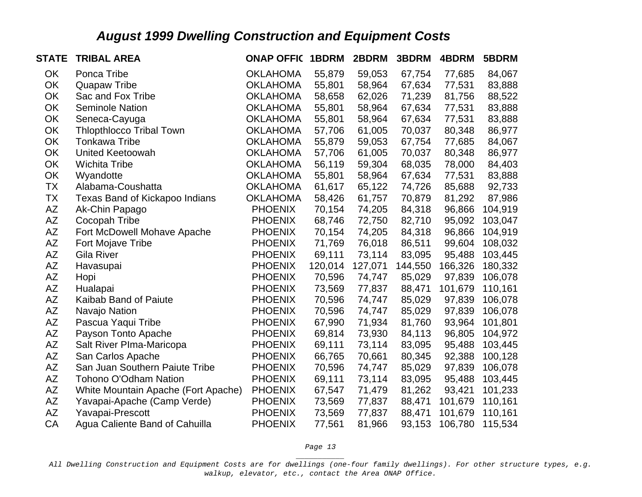| <b>STATE</b> | <b>TRIBAL AREA</b>                  | <b>ONAP OFFIC 1BDRM</b> |         | 2BDRM   | 3BDRM   | 4BDRM   | 5BDRM   |
|--------------|-------------------------------------|-------------------------|---------|---------|---------|---------|---------|
| OK           | Ponca Tribe                         | <b>OKLAHOMA</b>         | 55,879  | 59,053  | 67,754  | 77,685  | 84,067  |
| OK           | <b>Quapaw Tribe</b>                 | <b>OKLAHOMA</b>         | 55,801  | 58,964  | 67,634  | 77,531  | 83,888  |
| OK           | Sac and Fox Tribe                   | <b>OKLAHOMA</b>         | 58,658  | 62,026  | 71,239  | 81,756  | 88,522  |
| OK           | <b>Seminole Nation</b>              | <b>OKLAHOMA</b>         | 55,801  | 58,964  | 67,634  | 77,531  | 83,888  |
| OK           | Seneca-Cayuga                       | <b>OKLAHOMA</b>         | 55,801  | 58,964  | 67,634  | 77,531  | 83,888  |
| OK           | <b>Thlopthlocco Tribal Town</b>     | <b>OKLAHOMA</b>         | 57,706  | 61,005  | 70,037  | 80,348  | 86,977  |
| OK           | <b>Tonkawa Tribe</b>                | <b>OKLAHOMA</b>         | 55,879  | 59,053  | 67,754  | 77,685  | 84,067  |
| OK           | <b>United Keetoowah</b>             | <b>OKLAHOMA</b>         | 57,706  | 61,005  | 70,037  | 80,348  | 86,977  |
| OK           | <b>Wichita Tribe</b>                | <b>OKLAHOMA</b>         | 56,119  | 59,304  | 68,035  | 78,000  | 84,403  |
| OK           | Wyandotte                           | <b>OKLAHOMA</b>         | 55,801  | 58,964  | 67,634  | 77,531  | 83,888  |
| <b>TX</b>    | Alabama-Coushatta                   | <b>OKLAHOMA</b>         | 61,617  | 65,122  | 74,726  | 85,688  | 92,733  |
| <b>TX</b>    | Texas Band of Kickapoo Indians      | <b>OKLAHOMA</b>         | 58,426  | 61,757  | 70,879  | 81,292  | 87,986  |
| AΖ           | Ak-Chin Papago                      | <b>PHOENIX</b>          | 70,154  | 74,205  | 84,318  | 96,866  | 104,919 |
| AZ           | Cocopah Tribe                       | <b>PHOENIX</b>          | 68,746  | 72,750  | 82,710  | 95,092  | 103,047 |
| <b>AZ</b>    | Fort McDowell Mohave Apache         | <b>PHOENIX</b>          | 70,154  | 74,205  | 84,318  | 96,866  | 104,919 |
| AΖ           | Fort Mojave Tribe                   | <b>PHOENIX</b>          | 71,769  | 76,018  | 86,511  | 99,604  | 108,032 |
| AΖ           | Gila River                          | <b>PHOENIX</b>          | 69,111  | 73,114  | 83,095  | 95,488  | 103,445 |
| AΖ           | Havasupai                           | <b>PHOENIX</b>          | 120,014 | 127,071 | 144,550 | 166,326 | 180,332 |
| AZ           | Hopi                                | <b>PHOENIX</b>          | 70,596  | 74,747  | 85,029  | 97,839  | 106,078 |
| <b>AZ</b>    | Hualapai                            | <b>PHOENIX</b>          | 73,569  | 77,837  | 88,471  | 101,679 | 110,161 |
| AZ           | Kaibab Band of Paiute               | <b>PHOENIX</b>          | 70,596  | 74,747  | 85,029  | 97,839  | 106,078 |
| AZ           | Navajo Nation                       | <b>PHOENIX</b>          | 70,596  | 74,747  | 85,029  | 97,839  | 106,078 |
| ΑZ           | Pascua Yaqui Tribe                  | <b>PHOENIX</b>          | 67,990  | 71,934  | 81,760  | 93,964  | 101,801 |
| <b>AZ</b>    | Payson Tonto Apache                 | <b>PHOENIX</b>          | 69,814  | 73,930  | 84,113  | 96,805  | 104,972 |
| AZ           | Salt River Plma-Maricopa            | <b>PHOENIX</b>          | 69,111  | 73,114  | 83,095  | 95,488  | 103,445 |
| AΖ           | San Carlos Apache                   | <b>PHOENIX</b>          | 66,765  | 70,661  | 80,345  | 92,388  | 100,128 |
| AZ           | San Juan Southern Paiute Tribe      | <b>PHOENIX</b>          | 70,596  | 74,747  | 85,029  | 97,839  | 106,078 |
| AZ           | <b>Tohono O'Odham Nation</b>        | <b>PHOENIX</b>          | 69,111  | 73,114  | 83,095  | 95,488  | 103,445 |
| AZ           | White Mountain Apache (Fort Apache) | <b>PHOENIX</b>          | 67,547  | 71,479  | 81,262  | 93,421  | 101,233 |
| AZ           | Yavapai-Apache (Camp Verde)         | <b>PHOENIX</b>          | 73,569  | 77,837  | 88,471  | 101,679 | 110,161 |
| AZ           | Yavapai-Prescott                    | <b>PHOENIX</b>          | 73,569  | 77,837  | 88,471  | 101,679 | 110,161 |
| CA           | Agua Caliente Band of Cahuilla      | <b>PHOENIX</b>          | 77,561  | 81,966  | 93,153  | 106,780 | 115,534 |

*Page 13 \_\_\_\_\_\_\_\_\_\_\_*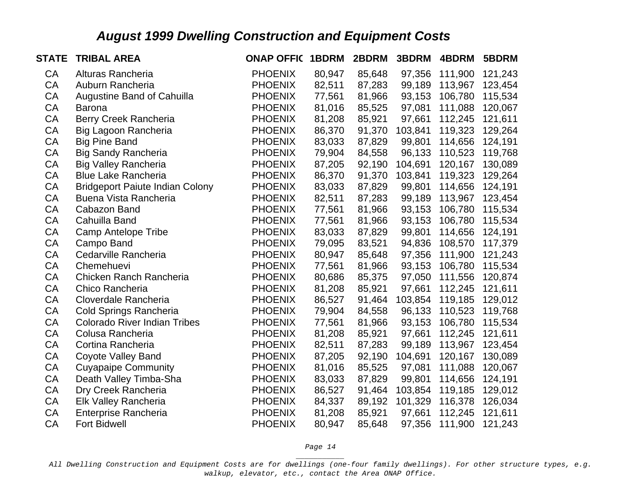| <b>STATE</b> | <b>TRIBAL AREA</b>                     | <b>ONAP OFFIC</b> | 1BDRM  | 2BDRM  | 3BDRM   | 4BDRM   | 5BDRM   |
|--------------|----------------------------------------|-------------------|--------|--------|---------|---------|---------|
| CA           | Alturas Rancheria                      | <b>PHOENIX</b>    | 80,947 | 85,648 | 97,356  | 111,900 | 121,243 |
| <b>CA</b>    | Auburn Rancheria                       | <b>PHOENIX</b>    | 82,511 | 87,283 | 99,189  | 113,967 | 123,454 |
| <b>CA</b>    | Augustine Band of Cahuilla             | <b>PHOENIX</b>    | 77,561 | 81,966 | 93,153  | 106,780 | 115,534 |
| <b>CA</b>    | <b>Barona</b>                          | <b>PHOENIX</b>    | 81,016 | 85,525 | 97,081  | 111,088 | 120,067 |
| CA           | Berry Creek Rancheria                  | <b>PHOENIX</b>    | 81,208 | 85,921 | 97,661  | 112,245 | 121,611 |
| CA           | Big Lagoon Rancheria                   | <b>PHOENIX</b>    | 86,370 | 91,370 | 103,841 | 119,323 | 129,264 |
| CA           | <b>Big Pine Band</b>                   | <b>PHOENIX</b>    | 83,033 | 87,829 | 99,801  | 114,656 | 124,191 |
| CA           | <b>Big Sandy Rancheria</b>             | <b>PHOENIX</b>    | 79,904 | 84,558 | 96,133  | 110,523 | 119,768 |
| CA           | <b>Big Valley Rancheria</b>            | <b>PHOENIX</b>    | 87,205 | 92,190 | 104,691 | 120,167 | 130,089 |
| <b>CA</b>    | <b>Blue Lake Rancheria</b>             | <b>PHOENIX</b>    | 86,370 | 91,370 | 103,841 | 119,323 | 129,264 |
| CA           | <b>Bridgeport Paiute Indian Colony</b> | <b>PHOENIX</b>    | 83,033 | 87,829 | 99,801  | 114,656 | 124,191 |
| <b>CA</b>    | Buena Vista Rancheria                  | <b>PHOENIX</b>    | 82,511 | 87,283 | 99,189  | 113,967 | 123,454 |
| CA           | Cabazon Band                           | <b>PHOENIX</b>    | 77,561 | 81,966 | 93,153  | 106,780 | 115,534 |
| CA           | Cahuilla Band                          | <b>PHOENIX</b>    | 77,561 | 81,966 | 93,153  | 106,780 | 115,534 |
| CA           | <b>Camp Antelope Tribe</b>             | <b>PHOENIX</b>    | 83,033 | 87,829 | 99,801  | 114,656 | 124,191 |
| <b>CA</b>    | Campo Band                             | <b>PHOENIX</b>    | 79,095 | 83,521 | 94,836  | 108,570 | 117,379 |
| CA           | Cedarville Rancheria                   | <b>PHOENIX</b>    | 80,947 | 85,648 | 97,356  | 111,900 | 121,243 |
| CA           | Chemehuevi                             | <b>PHOENIX</b>    | 77,561 | 81,966 | 93,153  | 106,780 | 115,534 |
| CA           | Chicken Ranch Rancheria                | <b>PHOENIX</b>    | 80,686 | 85,375 | 97,050  | 111,556 | 120,874 |
| <b>CA</b>    | Chico Rancheria                        | <b>PHOENIX</b>    | 81,208 | 85,921 | 97,661  | 112,245 | 121,611 |
| CA           | Cloverdale Rancheria                   | <b>PHOENIX</b>    | 86,527 | 91,464 | 103,854 | 119,185 | 129,012 |
| CA           | <b>Cold Springs Rancheria</b>          | <b>PHOENIX</b>    | 79,904 | 84,558 | 96,133  | 110,523 | 119,768 |
| CA           | <b>Colorado River Indian Tribes</b>    | <b>PHOENIX</b>    | 77,561 | 81,966 | 93,153  | 106,780 | 115,534 |
| CA           | Colusa Rancheria                       | <b>PHOENIX</b>    | 81,208 | 85,921 | 97,661  | 112,245 | 121,611 |
| CA           | Cortina Rancheria                      | <b>PHOENIX</b>    | 82,511 | 87,283 | 99,189  | 113,967 | 123,454 |
| CA           | Coyote Valley Band                     | <b>PHOENIX</b>    | 87,205 | 92,190 | 104,691 | 120,167 | 130,089 |
| CA           | <b>Cuyapaipe Community</b>             | <b>PHOENIX</b>    | 81,016 | 85,525 | 97,081  | 111,088 | 120,067 |
| CA           | Death Valley Timba-Sha                 | <b>PHOENIX</b>    | 83,033 | 87,829 | 99,801  | 114,656 | 124,191 |
| CA           | Dry Creek Rancheria                    | <b>PHOENIX</b>    | 86,527 | 91,464 | 103,854 | 119,185 | 129,012 |
| CA           | Elk Valley Rancheria                   | <b>PHOENIX</b>    | 84,337 | 89,192 | 101,329 | 116,378 | 126,034 |
| CA           | <b>Enterprise Rancheria</b>            | <b>PHOENIX</b>    | 81,208 | 85,921 | 97,661  | 112,245 | 121,611 |
| CA           | <b>Fort Bidwell</b>                    | <b>PHOENIX</b>    | 80,947 | 85,648 | 97,356  | 111,900 | 121,243 |

*Page 14 \_\_\_\_\_\_\_\_\_\_\_*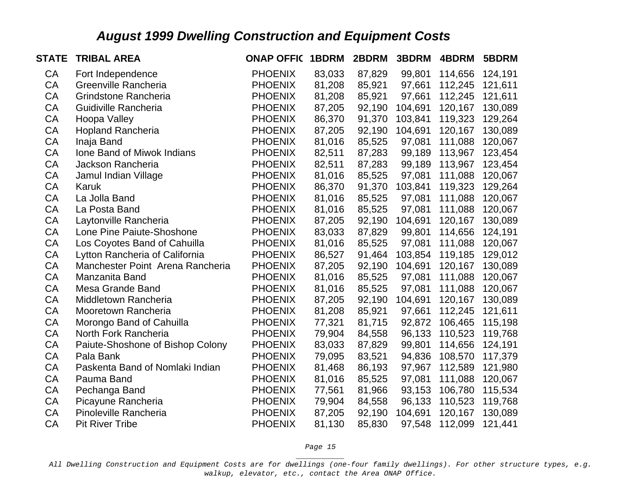| <b>STATE</b> | <b>TRIBAL AREA</b>               | <b>ONAP OFFIC</b> | 1BDRM  | 2BDRM  | 3BDRM   | 4BDRM   | 5BDRM   |
|--------------|----------------------------------|-------------------|--------|--------|---------|---------|---------|
| <b>CA</b>    | Fort Independence                | <b>PHOENIX</b>    | 83,033 | 87,829 | 99,801  | 114,656 | 124,191 |
| <b>CA</b>    | Greenville Rancheria             | <b>PHOENIX</b>    | 81,208 | 85,921 | 97,661  | 112,245 | 121,611 |
| <b>CA</b>    | Grindstone Rancheria             | <b>PHOENIX</b>    | 81,208 | 85,921 | 97,661  | 112,245 | 121,611 |
| CA           | Guidiville Rancheria             | <b>PHOENIX</b>    | 87,205 | 92,190 | 104,691 | 120,167 | 130,089 |
| CA           | Hoopa Valley                     | <b>PHOENIX</b>    | 86,370 | 91,370 | 103,841 | 119,323 | 129,264 |
| CA           | <b>Hopland Rancheria</b>         | <b>PHOENIX</b>    | 87,205 | 92,190 | 104,691 | 120,167 | 130,089 |
| CA           | Inaja Band                       | <b>PHOENIX</b>    | 81,016 | 85,525 | 97,081  | 111,088 | 120,067 |
| CA           | Ione Band of Miwok Indians       | <b>PHOENIX</b>    | 82,511 | 87,283 | 99,189  | 113,967 | 123,454 |
| CA           | Jackson Rancheria                | <b>PHOENIX</b>    | 82,511 | 87,283 | 99,189  | 113,967 | 123,454 |
| CA           | Jamul Indian Village             | <b>PHOENIX</b>    | 81,016 | 85,525 | 97,081  | 111,088 | 120,067 |
| CA           | Karuk                            | <b>PHOENIX</b>    | 86,370 | 91,370 | 103,841 | 119,323 | 129,264 |
| CA           | La Jolla Band                    | <b>PHOENIX</b>    | 81,016 | 85,525 | 97,081  | 111,088 | 120,067 |
| <b>CA</b>    | La Posta Band                    | <b>PHOENIX</b>    | 81,016 | 85,525 | 97,081  | 111,088 | 120,067 |
| CA           | Laytonville Rancheria            | <b>PHOENIX</b>    | 87,205 | 92,190 | 104,691 | 120,167 | 130,089 |
| <b>CA</b>    | Lone Pine Paiute-Shoshone        | <b>PHOENIX</b>    | 83,033 | 87,829 | 99,801  | 114,656 | 124,191 |
| <b>CA</b>    | Los Coyotes Band of Cahuilla     | <b>PHOENIX</b>    | 81,016 | 85,525 | 97,081  | 111,088 | 120,067 |
| CA           | Lytton Rancheria of California   | <b>PHOENIX</b>    | 86,527 | 91,464 | 103,854 | 119,185 | 129,012 |
| CA           | Manchester Point Arena Rancheria | <b>PHOENIX</b>    | 87,205 | 92,190 | 104,691 | 120,167 | 130,089 |
| <b>CA</b>    | Manzanita Band                   | <b>PHOENIX</b>    | 81,016 | 85,525 | 97,081  | 111,088 | 120,067 |
| CA           | Mesa Grande Band                 | <b>PHOENIX</b>    | 81,016 | 85,525 | 97,081  | 111,088 | 120,067 |
| CA           | Middletown Rancheria             | <b>PHOENIX</b>    | 87,205 | 92,190 | 104,691 | 120,167 | 130,089 |
| CA           | Mooretown Rancheria              | <b>PHOENIX</b>    | 81,208 | 85,921 | 97,661  | 112,245 | 121,611 |
| CA           | Morongo Band of Cahuilla         | <b>PHOENIX</b>    | 77,321 | 81,715 | 92,872  | 106,465 | 115,198 |
| <b>CA</b>    | North Fork Rancheria             | <b>PHOENIX</b>    | 79,904 | 84,558 | 96,133  | 110,523 | 119,768 |
| CA           | Paiute-Shoshone of Bishop Colony | <b>PHOENIX</b>    | 83,033 | 87,829 | 99,801  | 114,656 | 124,191 |
| CA           | Pala Bank                        | <b>PHOENIX</b>    | 79,095 | 83,521 | 94,836  | 108,570 | 117,379 |
| <b>CA</b>    | Paskenta Band of Nomlaki Indian  | <b>PHOENIX</b>    | 81,468 | 86,193 | 97,967  | 112,589 | 121,980 |
| <b>CA</b>    | Pauma Band                       | <b>PHOENIX</b>    | 81,016 | 85,525 | 97,081  | 111,088 | 120,067 |
| CA           | Pechanga Band                    | <b>PHOENIX</b>    | 77,561 | 81,966 | 93,153  | 106,780 | 115,534 |
| CA           | Picayune Rancheria               | <b>PHOENIX</b>    | 79,904 | 84,558 | 96,133  | 110,523 | 119,768 |
| CA           | Pinoleville Rancheria            | <b>PHOENIX</b>    | 87,205 | 92,190 | 104,691 | 120,167 | 130,089 |
| CA           | <b>Pit River Tribe</b>           | <b>PHOENIX</b>    | 81,130 | 85,830 | 97,548  | 112,099 | 121,441 |

*Page 15 \_\_\_\_\_\_\_\_\_\_\_*

*All Dwelling Construction and Equipment Costs are for dwellings (one-four family dwellings). For other structure types, e.g. walkup, elevator, etc., contact the Area ONAP Office.*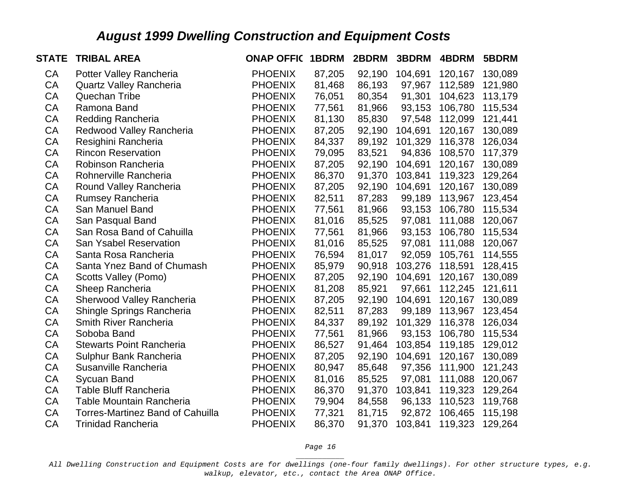| <b>STATE</b> | <b>TRIBAL AREA</b>                      | <b>ONAP OFFIC</b> | 1BDRM  | 2BDRM  | 3BDRM   | 4BDRM   | 5BDRM   |
|--------------|-----------------------------------------|-------------------|--------|--------|---------|---------|---------|
| <b>CA</b>    | Potter Valley Rancheria                 | <b>PHOENIX</b>    | 87,205 | 92,190 | 104,691 | 120,167 | 130,089 |
| <b>CA</b>    | <b>Quartz Valley Rancheria</b>          | <b>PHOENIX</b>    | 81,468 | 86,193 | 97,967  | 112,589 | 121,980 |
| CA           | <b>Quechan Tribe</b>                    | <b>PHOENIX</b>    | 76,051 | 80,354 | 91,301  | 104,623 | 113,179 |
| CA           | Ramona Band                             | <b>PHOENIX</b>    | 77,561 | 81,966 | 93,153  | 106,780 | 115,534 |
| CA           | <b>Redding Rancheria</b>                | <b>PHOENIX</b>    | 81,130 | 85,830 | 97,548  | 112,099 | 121,441 |
| CA           | Redwood Valley Rancheria                | <b>PHOENIX</b>    | 87,205 | 92,190 | 104,691 | 120,167 | 130,089 |
| CA           | Resighini Rancheria                     | <b>PHOENIX</b>    | 84,337 | 89,192 | 101,329 | 116,378 | 126,034 |
| CA           | <b>Rincon Reservation</b>               | <b>PHOENIX</b>    | 79,095 | 83,521 | 94,836  | 108,570 | 117,379 |
| CA           | Robinson Rancheria                      | <b>PHOENIX</b>    | 87,205 | 92,190 | 104,691 | 120,167 | 130,089 |
| CA           | Rohnerville Rancheria                   | <b>PHOENIX</b>    | 86,370 | 91,370 | 103,841 | 119,323 | 129,264 |
| CA           | Round Valley Rancheria                  | <b>PHOENIX</b>    | 87,205 | 92,190 | 104,691 | 120,167 | 130,089 |
| CA           | <b>Rumsey Rancheria</b>                 | <b>PHOENIX</b>    | 82,511 | 87,283 | 99,189  | 113,967 | 123,454 |
| CA           | San Manuel Band                         | <b>PHOENIX</b>    | 77,561 | 81,966 | 93,153  | 106,780 | 115,534 |
| CA           | San Pasqual Band                        | <b>PHOENIX</b>    | 81,016 | 85,525 | 97,081  | 111,088 | 120,067 |
| CA           | San Rosa Band of Cahuilla               | <b>PHOENIX</b>    | 77,561 | 81,966 | 93,153  | 106,780 | 115,534 |
| CA           | <b>San Ysabel Reservation</b>           | <b>PHOENIX</b>    | 81,016 | 85,525 | 97,081  | 111,088 | 120,067 |
| CA           | Santa Rosa Rancheria                    | <b>PHOENIX</b>    | 76,594 | 81,017 | 92,059  | 105,761 | 114,555 |
| CA           | Santa Ynez Band of Chumash              | <b>PHOENIX</b>    | 85,979 | 90,918 | 103,276 | 118,591 | 128,415 |
| CA           | Scotts Valley (Pomo)                    | <b>PHOENIX</b>    | 87,205 | 92,190 | 104,691 | 120,167 | 130,089 |
| CA           | Sheep Rancheria                         | <b>PHOENIX</b>    | 81,208 | 85,921 | 97,661  | 112,245 | 121,611 |
| CA           | Sherwood Valley Rancheria               | <b>PHOENIX</b>    | 87,205 | 92,190 | 104,691 | 120,167 | 130,089 |
| CA           | Shingle Springs Rancheria               | <b>PHOENIX</b>    | 82,511 | 87,283 | 99,189  | 113,967 | 123,454 |
| CA           | <b>Smith River Rancheria</b>            | <b>PHOENIX</b>    | 84,337 | 89,192 | 101,329 | 116,378 | 126,034 |
| CA           | Soboba Band                             | <b>PHOENIX</b>    | 77,561 | 81,966 | 93,153  | 106,780 | 115,534 |
| CA           | <b>Stewarts Point Rancheria</b>         | <b>PHOENIX</b>    | 86,527 | 91,464 | 103,854 | 119,185 | 129,012 |
| CA           | Sulphur Bank Rancheria                  | <b>PHOENIX</b>    | 87,205 | 92,190 | 104,691 | 120,167 | 130,089 |
| <b>CA</b>    | Susanville Rancheria                    | <b>PHOENIX</b>    | 80,947 | 85,648 | 97,356  | 111,900 | 121,243 |
| CA           | Sycuan Band                             | <b>PHOENIX</b>    | 81,016 | 85,525 | 97,081  | 111,088 | 120,067 |
| CA           | <b>Table Bluff Rancheria</b>            | <b>PHOENIX</b>    | 86,370 | 91,370 | 103,841 | 119,323 | 129,264 |
| CA           | <b>Table Mountain Rancheria</b>         | <b>PHOENIX</b>    | 79,904 | 84,558 | 96,133  | 110,523 | 119,768 |
| CA           | <b>Torres-Martinez Band of Cahuilla</b> | <b>PHOENIX</b>    | 77,321 | 81,715 | 92,872  | 106,465 | 115,198 |
| CA           | <b>Trinidad Rancheria</b>               | <b>PHOENIX</b>    | 86,370 | 91,370 | 103,841 | 119,323 | 129,264 |

*Page 16 \_\_\_\_\_\_\_\_\_\_\_*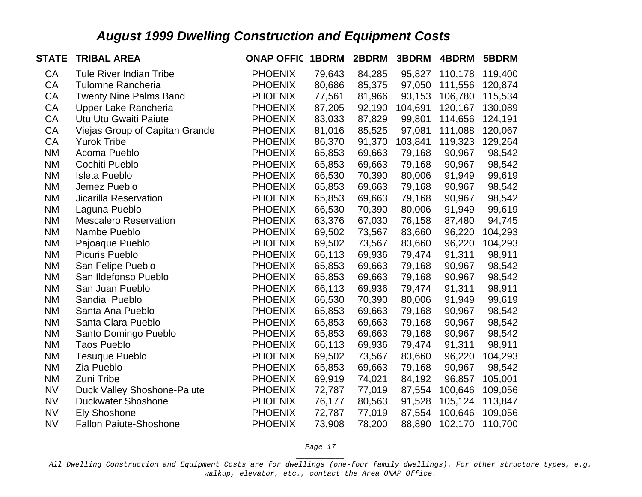| <b>STATE</b> | <b>TRIBAL AREA</b>                 | <b>ONAP OFFIC</b> | 1BDRM  | 2BDRM  | 3BDRM   | 4BDRM   | 5BDRM   |
|--------------|------------------------------------|-------------------|--------|--------|---------|---------|---------|
| CA           | Tule River Indian Tribe            | <b>PHOENIX</b>    | 79,643 | 84,285 | 95,827  | 110,178 | 119,400 |
| CA           | <b>Tulomne Rancheria</b>           | <b>PHOENIX</b>    | 80,686 | 85,375 | 97,050  | 111,556 | 120,874 |
| CA           | <b>Twenty Nine Palms Band</b>      | <b>PHOENIX</b>    | 77,561 | 81,966 | 93,153  | 106,780 | 115,534 |
| CA           | Upper Lake Rancheria               | <b>PHOENIX</b>    | 87,205 | 92,190 | 104,691 | 120,167 | 130,089 |
| CA           | Utu Utu Gwaiti Paiute              | <b>PHOENIX</b>    | 83,033 | 87,829 | 99,801  | 114,656 | 124,191 |
| CA           | Viejas Group of Capitan Grande     | <b>PHOENIX</b>    | 81,016 | 85,525 | 97,081  | 111,088 | 120,067 |
| CA           | <b>Yurok Tribe</b>                 | <b>PHOENIX</b>    | 86,370 | 91,370 | 103,841 | 119,323 | 129,264 |
| <b>NM</b>    | Acoma Pueblo                       | <b>PHOENIX</b>    | 65,853 | 69,663 | 79,168  | 90,967  | 98,542  |
| <b>NM</b>    | Cochiti Pueblo                     | <b>PHOENIX</b>    | 65,853 | 69,663 | 79,168  | 90,967  | 98,542  |
| <b>NM</b>    | <b>Isleta Pueblo</b>               | <b>PHOENIX</b>    | 66,530 | 70,390 | 80,006  | 91,949  | 99,619  |
| <b>NM</b>    | Jemez Pueblo                       | <b>PHOENIX</b>    | 65,853 | 69,663 | 79,168  | 90,967  | 98,542  |
| <b>NM</b>    | Jicarilla Reservation              | <b>PHOENIX</b>    | 65,853 | 69,663 | 79,168  | 90,967  | 98,542  |
| <b>NM</b>    | Laguna Pueblo                      | <b>PHOENIX</b>    | 66,530 | 70,390 | 80,006  | 91,949  | 99,619  |
| <b>NM</b>    | <b>Mescalero Reservation</b>       | <b>PHOENIX</b>    | 63,376 | 67,030 | 76,158  | 87,480  | 94,745  |
| <b>NM</b>    | Nambe Pueblo                       | <b>PHOENIX</b>    | 69,502 | 73,567 | 83,660  | 96,220  | 104,293 |
| <b>NM</b>    | Pajoaque Pueblo                    | <b>PHOENIX</b>    | 69,502 | 73,567 | 83,660  | 96,220  | 104,293 |
| <b>NM</b>    | <b>Picuris Pueblo</b>              | <b>PHOENIX</b>    | 66,113 | 69,936 | 79,474  | 91,311  | 98,911  |
| <b>NM</b>    | San Felipe Pueblo                  | <b>PHOENIX</b>    | 65,853 | 69,663 | 79,168  | 90,967  | 98,542  |
| <b>NM</b>    | San Ildefonso Pueblo               | <b>PHOENIX</b>    | 65,853 | 69,663 | 79,168  | 90,967  | 98,542  |
| <b>NM</b>    | San Juan Pueblo                    | <b>PHOENIX</b>    | 66,113 | 69,936 | 79,474  | 91,311  | 98,911  |
| <b>NM</b>    | Sandia Pueblo                      | <b>PHOENIX</b>    | 66,530 | 70,390 | 80,006  | 91,949  | 99,619  |
| <b>NM</b>    | Santa Ana Pueblo                   | <b>PHOENIX</b>    | 65,853 | 69,663 | 79,168  | 90,967  | 98,542  |
| <b>NM</b>    | Santa Clara Pueblo                 | <b>PHOENIX</b>    | 65,853 | 69,663 | 79,168  | 90,967  | 98,542  |
| <b>NM</b>    | Santo Domingo Pueblo               | <b>PHOENIX</b>    | 65,853 | 69,663 | 79,168  | 90,967  | 98,542  |
| <b>NM</b>    | <b>Taos Pueblo</b>                 | <b>PHOENIX</b>    | 66,113 | 69,936 | 79,474  | 91,311  | 98,911  |
| <b>NM</b>    | Tesuque Pueblo                     | <b>PHOENIX</b>    | 69,502 | 73,567 | 83,660  | 96,220  | 104,293 |
| <b>NM</b>    | Zia Pueblo                         | <b>PHOENIX</b>    | 65,853 | 69,663 | 79,168  | 90,967  | 98,542  |
| <b>NM</b>    | Zuni Tribe                         | <b>PHOENIX</b>    | 69,919 | 74,021 | 84,192  | 96,857  | 105,001 |
| <b>NV</b>    | <b>Duck Valley Shoshone-Paiute</b> | <b>PHOENIX</b>    | 72,787 | 77,019 | 87,554  | 100,646 | 109,056 |
| <b>NV</b>    | <b>Duckwater Shoshone</b>          | <b>PHOENIX</b>    | 76,177 | 80,563 | 91,528  | 105,124 | 113,847 |
| <b>NV</b>    | <b>Ely Shoshone</b>                | <b>PHOENIX</b>    | 72,787 | 77,019 | 87,554  | 100,646 | 109,056 |
| <b>NV</b>    | <b>Fallon Paiute-Shoshone</b>      | <b>PHOENIX</b>    | 73,908 | 78,200 | 88,890  | 102,170 | 110,700 |

*Page 17 \_\_\_\_\_\_\_\_\_\_\_*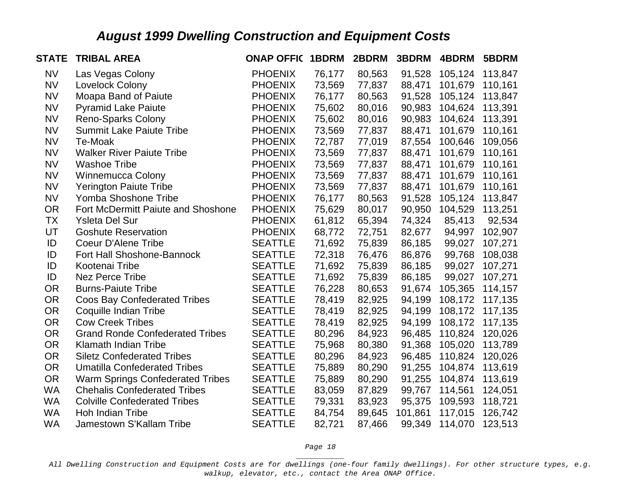| <b>STATE</b> | <b>TRIBAL AREA</b>                      | <b>ONAP OFFIC 1BDRM</b> |        | 2BDRM  | 3BDRM   | 4BDRM   | 5BDRM   |
|--------------|-----------------------------------------|-------------------------|--------|--------|---------|---------|---------|
| <b>NV</b>    | Las Vegas Colony                        | <b>PHOENIX</b>          | 76,177 | 80,563 | 91,528  | 105,124 | 113,847 |
| <b>NV</b>    | Lovelock Colony                         | <b>PHOENIX</b>          | 73,569 | 77,837 | 88,471  | 101,679 | 110,161 |
| <b>NV</b>    | Moapa Band of Paiute                    | <b>PHOENIX</b>          | 76,177 | 80,563 | 91,528  | 105,124 | 113,847 |
| <b>NV</b>    | <b>Pyramid Lake Paiute</b>              | <b>PHOENIX</b>          | 75,602 | 80,016 | 90,983  | 104,624 | 113,391 |
| <b>NV</b>    | <b>Reno-Sparks Colony</b>               | <b>PHOENIX</b>          | 75,602 | 80,016 | 90,983  | 104,624 | 113,391 |
| <b>NV</b>    | <b>Summit Lake Paiute Tribe</b>         | <b>PHOENIX</b>          | 73,569 | 77,837 | 88,471  | 101,679 | 110,161 |
| <b>NV</b>    | Te-Moak                                 | <b>PHOENIX</b>          | 72,787 | 77,019 | 87,554  | 100,646 | 109,056 |
| <b>NV</b>    | <b>Walker River Paiute Tribe</b>        | <b>PHOENIX</b>          | 73,569 | 77,837 | 88,471  | 101,679 | 110,161 |
| <b>NV</b>    | <b>Washoe Tribe</b>                     | <b>PHOENIX</b>          | 73,569 | 77,837 | 88,471  | 101,679 | 110,161 |
| <b>NV</b>    | <b>Winnemucca Colony</b>                | <b>PHOENIX</b>          | 73,569 | 77,837 | 88,471  | 101,679 | 110,161 |
| <b>NV</b>    | <b>Yerington Paiute Tribe</b>           | <b>PHOENIX</b>          | 73,569 | 77,837 | 88,471  | 101,679 | 110,161 |
| <b>NV</b>    | Yomba Shoshone Tribe                    | <b>PHOENIX</b>          | 76,177 | 80,563 | 91,528  | 105,124 | 113,847 |
| <b>OR</b>    | Fort McDermitt Paiute and Shoshone      | <b>PHOENIX</b>          | 75,629 | 80,017 | 90,950  | 104,529 | 113,251 |
| ТX           | <b>Ysleta Del Sur</b>                   | <b>PHOENIX</b>          | 61,812 | 65,394 | 74,324  | 85,413  | 92,534  |
| UT           | <b>Goshute Reservation</b>              | <b>PHOENIX</b>          | 68,772 | 72,751 | 82,677  | 94,997  | 102,907 |
| ID           | <b>Coeur D'Alene Tribe</b>              | <b>SEATTLE</b>          | 71,692 | 75,839 | 86,185  | 99,027  | 107,271 |
| ID           | Fort Hall Shoshone-Bannock              | <b>SEATTLE</b>          | 72,318 | 76,476 | 86,876  | 99,768  | 108,038 |
| ID           | Kootenai Tribe                          | <b>SEATTLE</b>          | 71,692 | 75,839 | 86,185  | 99,027  | 107,271 |
| ID           | <b>Nez Perce Tribe</b>                  | <b>SEATTLE</b>          | 71,692 | 75,839 | 86,185  | 99,027  | 107,271 |
| <b>OR</b>    | <b>Burns-Paiute Tribe</b>               | <b>SEATTLE</b>          | 76,228 | 80,653 | 91,674  | 105,365 | 114,157 |
| <b>OR</b>    | <b>Coos Bay Confederated Tribes</b>     | <b>SEATTLE</b>          | 78,419 | 82,925 | 94,199  | 108,172 | 117,135 |
| <b>OR</b>    | Coquille Indian Tribe                   | <b>SEATTLE</b>          | 78,419 | 82,925 | 94,199  | 108,172 | 117,135 |
| <b>OR</b>    | <b>Cow Creek Tribes</b>                 | <b>SEATTLE</b>          | 78,419 | 82,925 | 94,199  | 108,172 | 117,135 |
| <b>OR</b>    | <b>Grand Ronde Confederated Tribes</b>  | <b>SEATTLE</b>          | 80,296 | 84,923 | 96,485  | 110,824 | 120,026 |
| <b>OR</b>    | Klamath Indian Tribe                    | <b>SEATTLE</b>          | 75,968 | 80,380 | 91,368  | 105,020 | 113,789 |
| <b>OR</b>    | <b>Siletz Confederated Tribes</b>       | <b>SEATTLE</b>          | 80,296 | 84,923 | 96,485  | 110,824 | 120,026 |
| <b>OR</b>    | <b>Umatilla Confederated Tribes</b>     | <b>SEATTLE</b>          | 75,889 | 80,290 | 91,255  | 104,874 | 113,619 |
| <b>OR</b>    | <b>Warm Springs Confederated Tribes</b> | <b>SEATTLE</b>          | 75,889 | 80,290 | 91,255  | 104,874 | 113,619 |
| <b>WA</b>    | <b>Chehalis Confederated Tribes</b>     | <b>SEATTLE</b>          | 83,059 | 87,829 | 99,767  | 114,561 | 124,051 |
| <b>WA</b>    | <b>Colville Confederated Tribes</b>     | <b>SEATTLE</b>          | 79,331 | 83,923 | 95,375  | 109,593 | 118,721 |
| <b>WA</b>    | Hoh Indian Tribe                        | <b>SEATTLE</b>          | 84,754 | 89,645 | 101,861 | 117,015 | 126,742 |
| <b>WA</b>    | Jamestown S'Kallam Tribe                | <b>SEATTLE</b>          | 82,721 | 87,466 | 99,349  | 114,070 | 123,513 |

*Page 18 \_\_\_\_\_\_\_\_\_\_\_*